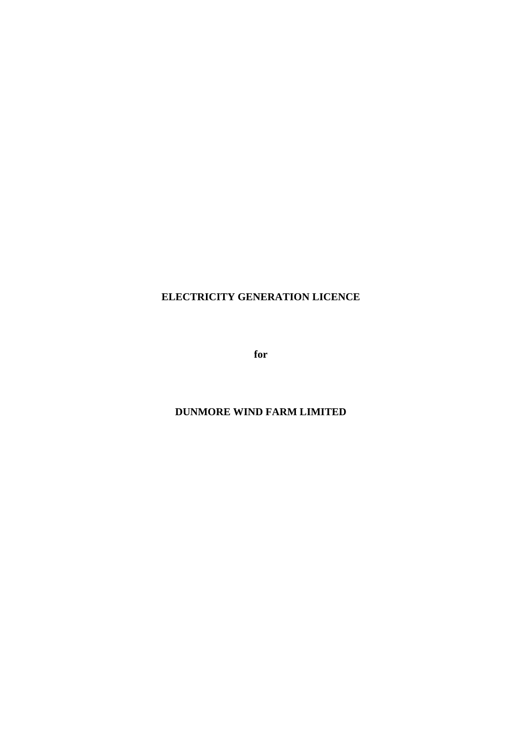# **ELECTRICITY GENERATION LICENCE**

**for** 

# **DUNMORE WIND FARM LIMITED**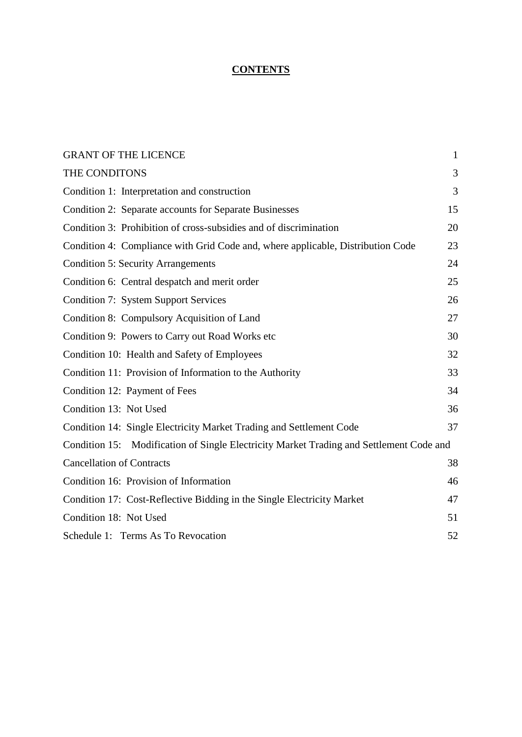# **CONTENTS**

| <b>GRANT OF THE LICENCE</b>                                                             | $\mathbf{1}$ |
|-----------------------------------------------------------------------------------------|--------------|
| THE CONDITONS                                                                           | 3            |
| Condition 1: Interpretation and construction                                            | 3            |
| Condition 2: Separate accounts for Separate Businesses                                  | 15           |
| Condition 3: Prohibition of cross-subsidies and of discrimination                       | 20           |
| Condition 4: Compliance with Grid Code and, where applicable, Distribution Code         | 23           |
| <b>Condition 5: Security Arrangements</b>                                               | 24           |
| Condition 6: Central despatch and merit order                                           | 25           |
| <b>Condition 7: System Support Services</b>                                             | 26           |
| Condition 8: Compulsory Acquisition of Land                                             | 27           |
| Condition 9: Powers to Carry out Road Works etc                                         | 30           |
| Condition 10: Health and Safety of Employees                                            | 32           |
| Condition 11: Provision of Information to the Authority                                 | 33           |
| Condition 12: Payment of Fees                                                           | 34           |
| Condition 13: Not Used                                                                  | 36           |
| Condition 14: Single Electricity Market Trading and Settlement Code                     | 37           |
| Condition 15: Modification of Single Electricity Market Trading and Settlement Code and |              |
| <b>Cancellation of Contracts</b>                                                        | 38           |
| Condition 16: Provision of Information                                                  | 46           |
| Condition 17: Cost-Reflective Bidding in the Single Electricity Market                  | 47           |
| Condition 18: Not Used                                                                  | 51           |
| Schedule 1: Terms As To Revocation                                                      | 52           |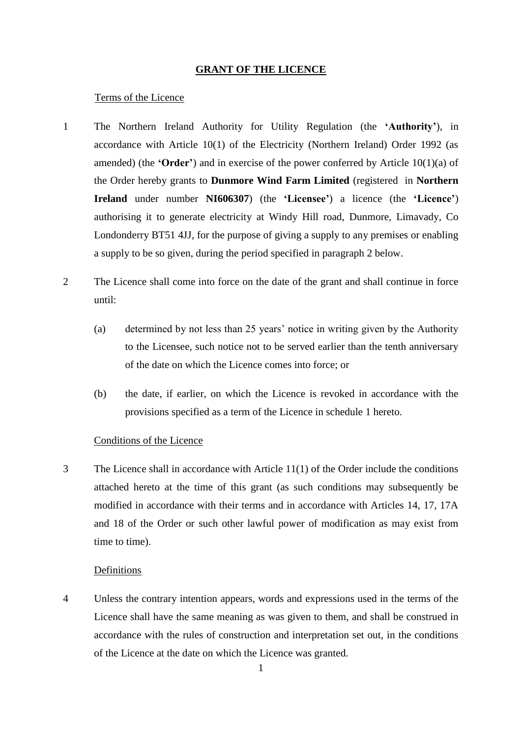#### **GRANT OF THE LICENCE**

#### <span id="page-2-0"></span>Terms of the Licence

- 1 The Northern Ireland Authority for Utility Regulation (the **'Authority'**), in accordance with Article 10(1) of the Electricity (Northern Ireland) Order 1992 (as amended) (the **'Order'**) and in exercise of the power conferred by Article 10(1)(a) of the Order hereby grants to **Dunmore Wind Farm Limited** (registered in **Northern Ireland** under number **NI606307**) (the **'Licensee'**) a licence (the **'Licence'**) authorising it to generate electricity at Windy Hill road, Dunmore, Limavady, Co Londonderry BT51 4JJ, for the purpose of giving a supply to any premises or enabling a supply to be so given, during the period specified in paragraph 2 below.
- 2 The Licence shall come into force on the date of the grant and shall continue in force until:
	- (a) determined by not less than 25 years' notice in writing given by the Authority to the Licensee, such notice not to be served earlier than the tenth anniversary of the date on which the Licence comes into force; or
	- (b) the date, if earlier, on which the Licence is revoked in accordance with the provisions specified as a term of the Licence in schedule 1 hereto.

#### Conditions of the Licence

3 The Licence shall in accordance with Article 11(1) of the Order include the conditions attached hereto at the time of this grant (as such conditions may subsequently be modified in accordance with their terms and in accordance with Articles 14, 17, 17A and 18 of the Order or such other lawful power of modification as may exist from time to time).

#### Definitions

4 Unless the contrary intention appears, words and expressions used in the terms of the Licence shall have the same meaning as was given to them, and shall be construed in accordance with the rules of construction and interpretation set out, in the conditions of the Licence at the date on which the Licence was granted.

1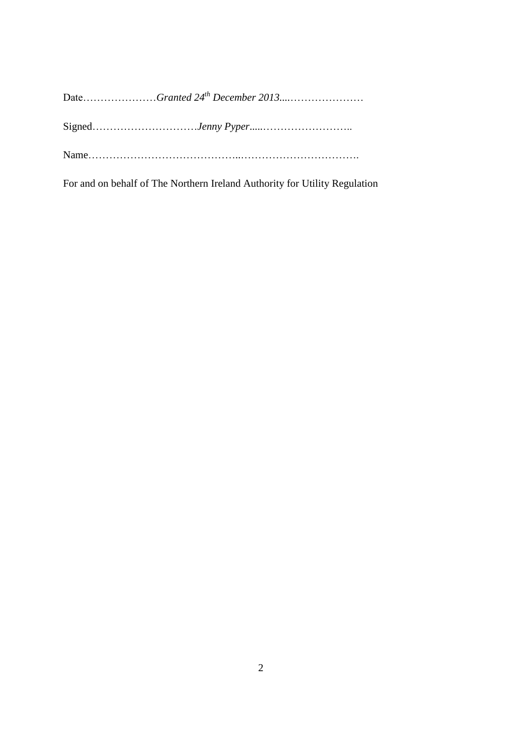For and on behalf of The Northern Ireland Authority for Utility Regulation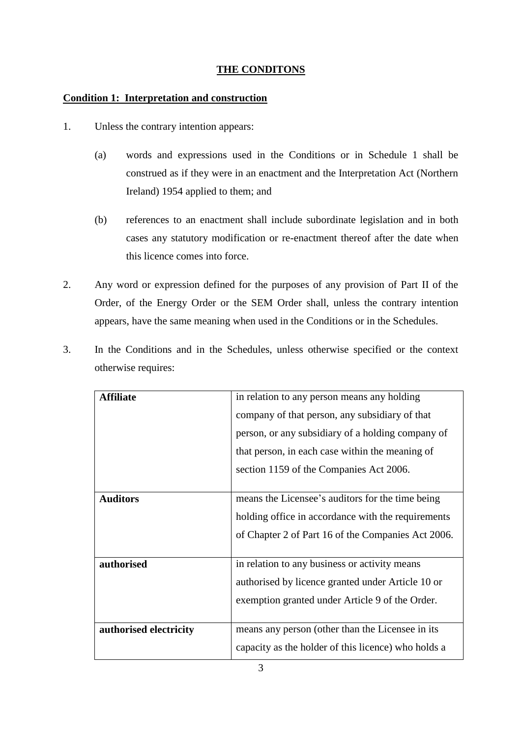## **THE CONDITONS**

## <span id="page-4-1"></span><span id="page-4-0"></span>**Condition 1: Interpretation and construction**

- 1. Unless the contrary intention appears:
	- (a) words and expressions used in the Conditions or in Schedule 1 shall be construed as if they were in an enactment and the Interpretation Act (Northern Ireland) 1954 applied to them; and
	- (b) references to an enactment shall include subordinate legislation and in both cases any statutory modification or re-enactment thereof after the date when this licence comes into force.
- 2. Any word or expression defined for the purposes of any provision of Part II of the Order, of the Energy Order or the SEM Order shall, unless the contrary intention appears, have the same meaning when used in the Conditions or in the Schedules.
- 3. In the Conditions and in the Schedules, unless otherwise specified or the context otherwise requires:

| <b>Affiliate</b>       | in relation to any person means any holding         |
|------------------------|-----------------------------------------------------|
|                        | company of that person, any subsidiary of that      |
|                        | person, or any subsidiary of a holding company of   |
|                        | that person, in each case within the meaning of     |
|                        | section 1159 of the Companies Act 2006.             |
|                        |                                                     |
| <b>Auditors</b>        | means the Licensee's auditors for the time being    |
|                        | holding office in accordance with the requirements  |
|                        | of Chapter 2 of Part 16 of the Companies Act 2006.  |
|                        |                                                     |
| authorised             | in relation to any business or activity means       |
|                        | authorised by licence granted under Article 10 or   |
|                        | exemption granted under Article 9 of the Order.     |
|                        |                                                     |
| authorised electricity | means any person (other than the Licensee in its)   |
|                        | capacity as the holder of this licence) who holds a |
|                        |                                                     |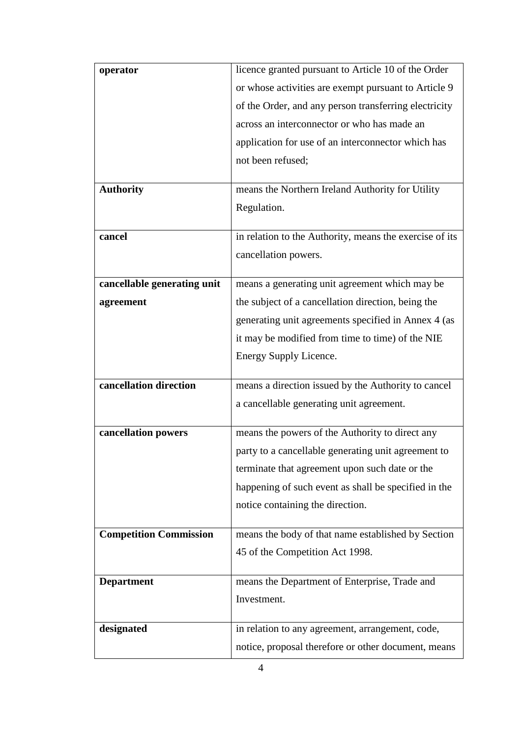| operator                      | licence granted pursuant to Article 10 of the Order     |
|-------------------------------|---------------------------------------------------------|
|                               | or whose activities are exempt pursuant to Article 9    |
|                               | of the Order, and any person transferring electricity   |
|                               | across an interconnector or who has made an             |
|                               | application for use of an interconnector which has      |
|                               | not been refused;                                       |
|                               |                                                         |
| <b>Authority</b>              | means the Northern Ireland Authority for Utility        |
|                               | Regulation.                                             |
| cancel                        | in relation to the Authority, means the exercise of its |
|                               | cancellation powers.                                    |
|                               |                                                         |
| cancellable generating unit   | means a generating unit agreement which may be          |
| agreement                     | the subject of a cancellation direction, being the      |
|                               | generating unit agreements specified in Annex 4 (as     |
|                               | it may be modified from time to time) of the NIE        |
|                               | Energy Supply Licence.                                  |
|                               |                                                         |
| cancellation direction        | means a direction issued by the Authority to cancel     |
|                               | a cancellable generating unit agreement.                |
| cancellation powers           | means the powers of the Authority to direct any         |
|                               | party to a cancellable generating unit agreement to     |
|                               | terminate that agreement upon such date or the          |
|                               | happening of such event as shall be specified in the    |
|                               | notice containing the direction.                        |
|                               |                                                         |
| <b>Competition Commission</b> | means the body of that name established by Section      |
|                               | 45 of the Competition Act 1998.                         |
|                               |                                                         |
|                               |                                                         |
| <b>Department</b>             | means the Department of Enterprise, Trade and           |
|                               | Investment.                                             |
| designated                    | in relation to any agreement, arrangement, code,        |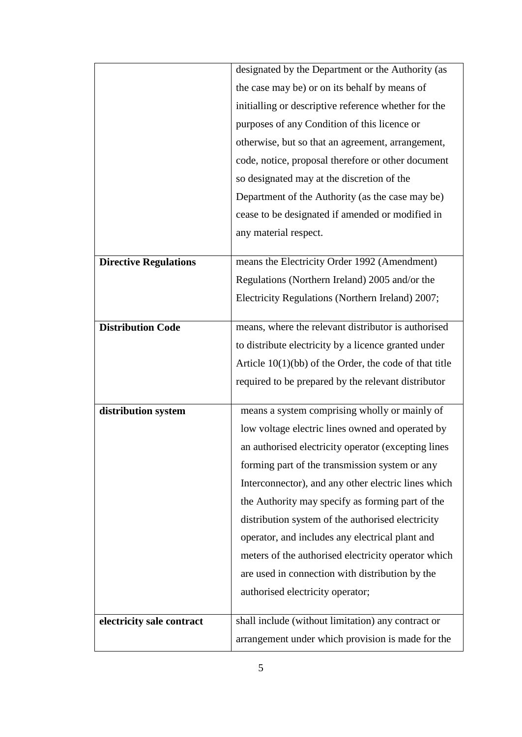|                              | designated by the Department or the Authority (as        |
|------------------------------|----------------------------------------------------------|
|                              | the case may be) or on its behalf by means of            |
|                              | initialling or descriptive reference whether for the     |
|                              | purposes of any Condition of this licence or             |
|                              | otherwise, but so that an agreement, arrangement,        |
|                              | code, notice, proposal therefore or other document       |
|                              | so designated may at the discretion of the               |
|                              | Department of the Authority (as the case may be)         |
|                              | cease to be designated if amended or modified in         |
|                              | any material respect.                                    |
| <b>Directive Regulations</b> | means the Electricity Order 1992 (Amendment)             |
|                              | Regulations (Northern Ireland) 2005 and/or the           |
|                              | Electricity Regulations (Northern Ireland) 2007;         |
|                              |                                                          |
| <b>Distribution Code</b>     | means, where the relevant distributor is authorised      |
|                              | to distribute electricity by a licence granted under     |
|                              | Article $10(1)(bb)$ of the Order, the code of that title |
|                              | required to be prepared by the relevant distributor      |
| distribution system          | means a system comprising wholly or mainly of            |
|                              | low voltage electric lines owned and operated by         |
|                              | an authorised electricity operator (excepting lines      |
|                              | forming part of the transmission system or any           |
|                              | Interconnector), and any other electric lines which      |
|                              | the Authority may specify as forming part of the         |
|                              | distribution system of the authorised electricity        |
|                              | operator, and includes any electrical plant and          |
|                              | meters of the authorised electricity operator which      |
|                              | are used in connection with distribution by the          |
|                              | authorised electricity operator;                         |
| electricity sale contract    | shall include (without limitation) any contract or       |
|                              | arrangement under which provision is made for the        |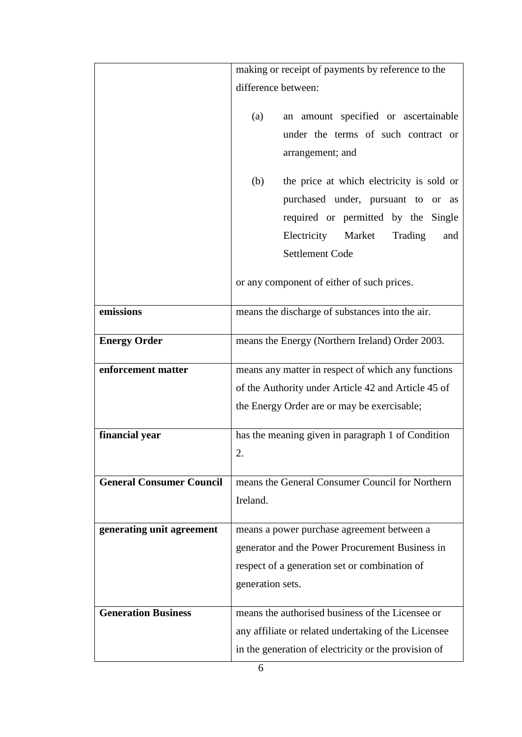|                                 | making or receipt of payments by reference to the    |
|---------------------------------|------------------------------------------------------|
|                                 | difference between:                                  |
|                                 |                                                      |
|                                 | an amount specified or ascertainable<br>(a)          |
|                                 | under the terms of such contract or                  |
|                                 | arrangement; and                                     |
|                                 | the price at which electricity is sold or<br>(b)     |
|                                 | purchased under, pursuant to or as                   |
|                                 | required or permitted by the Single                  |
|                                 | Electricity<br>Market<br>Trading<br>and              |
|                                 | <b>Settlement Code</b>                               |
|                                 | or any component of either of such prices.           |
| emissions                       | means the discharge of substances into the air.      |
| <b>Energy Order</b>             | means the Energy (Northern Ireland) Order 2003.      |
| enforcement matter              | means any matter in respect of which any functions   |
|                                 | of the Authority under Article 42 and Article 45 of  |
|                                 | the Energy Order are or may be exercisable;          |
| financial year                  | has the meaning given in paragraph 1 of Condition    |
|                                 | 2.                                                   |
| <b>General Consumer Council</b> | means the General Consumer Council for Northern      |
|                                 | Ireland.                                             |
|                                 |                                                      |
| generating unit agreement       | means a power purchase agreement between a           |
|                                 | generator and the Power Procurement Business in      |
|                                 | respect of a generation set or combination of        |
|                                 | generation sets.                                     |
| <b>Generation Business</b>      | means the authorised business of the Licensee or     |
|                                 | any affiliate or related undertaking of the Licensee |
|                                 | in the generation of electricity or the provision of |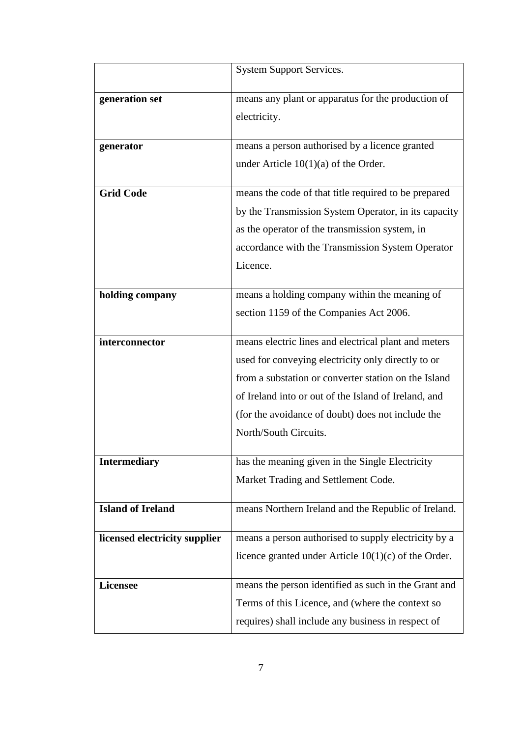|                               | <b>System Support Services.</b>                        |
|-------------------------------|--------------------------------------------------------|
| generation set                | means any plant or apparatus for the production of     |
|                               | electricity.                                           |
|                               |                                                        |
| generator                     | means a person authorised by a licence granted         |
|                               | under Article $10(1)(a)$ of the Order.                 |
| <b>Grid Code</b>              | means the code of that title required to be prepared   |
|                               | by the Transmission System Operator, in its capacity   |
|                               | as the operator of the transmission system, in         |
|                               | accordance with the Transmission System Operator       |
|                               | Licence.                                               |
| holding company               | means a holding company within the meaning of          |
|                               | section 1159 of the Companies Act 2006.                |
|                               |                                                        |
| interconnector                | means electric lines and electrical plant and meters   |
|                               | used for conveying electricity only directly to or     |
|                               | from a substation or converter station on the Island   |
|                               | of Ireland into or out of the Island of Ireland, and   |
|                               | (for the avoidance of doubt) does not include the      |
|                               | North/South Circuits.                                  |
| <b>Intermediary</b>           | has the meaning given in the Single Electricity        |
|                               | Market Trading and Settlement Code.                    |
|                               |                                                        |
| <b>Island of Ireland</b>      | means Northern Ireland and the Republic of Ireland.    |
|                               |                                                        |
| licensed electricity supplier | means a person authorised to supply electricity by a   |
|                               | licence granted under Article $10(1)(c)$ of the Order. |
| <b>Licensee</b>               | means the person identified as such in the Grant and   |
|                               | Terms of this Licence, and (where the context so       |
|                               | requires) shall include any business in respect of     |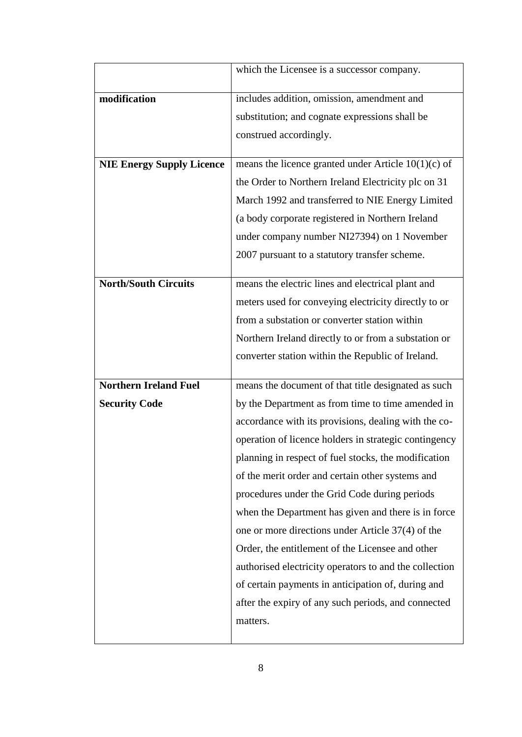|                                  | which the Licensee is a successor company.             |
|----------------------------------|--------------------------------------------------------|
| modification                     | includes addition, omission, amendment and             |
|                                  | substitution; and cognate expressions shall be         |
|                                  | construed accordingly.                                 |
|                                  |                                                        |
| <b>NIE Energy Supply Licence</b> | means the licence granted under Article $10(1)(c)$ of  |
|                                  | the Order to Northern Ireland Electricity plc on 31    |
|                                  | March 1992 and transferred to NIE Energy Limited       |
|                                  | (a body corporate registered in Northern Ireland       |
|                                  | under company number NI27394) on 1 November            |
|                                  | 2007 pursuant to a statutory transfer scheme.          |
|                                  |                                                        |
| <b>North/South Circuits</b>      | means the electric lines and electrical plant and      |
|                                  | meters used for conveying electricity directly to or   |
|                                  | from a substation or converter station within          |
|                                  | Northern Ireland directly to or from a substation or   |
|                                  | converter station within the Republic of Ireland.      |
| <b>Northern Ireland Fuel</b>     | means the document of that title designated as such    |
| <b>Security Code</b>             | by the Department as from time to time amended in      |
|                                  | accordance with its provisions, dealing with the co-   |
|                                  | operation of licence holders in strategic contingency  |
|                                  | planning in respect of fuel stocks, the modification   |
|                                  | of the merit order and certain other systems and       |
|                                  | procedures under the Grid Code during periods          |
|                                  | when the Department has given and there is in force    |
|                                  | one or more directions under Article 37(4) of the      |
|                                  | Order, the entitlement of the Licensee and other       |
|                                  | authorised electricity operators to and the collection |
|                                  | of certain payments in anticipation of, during and     |
|                                  | after the expiry of any such periods, and connected    |
|                                  | matters.                                               |
|                                  |                                                        |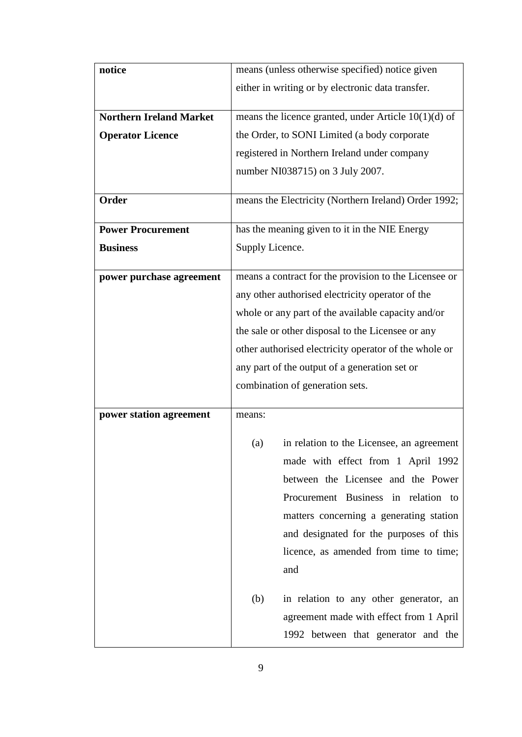| notice                         |                 | means (unless otherwise specified) notice given        |
|--------------------------------|-----------------|--------------------------------------------------------|
|                                |                 | either in writing or by electronic data transfer.      |
|                                |                 |                                                        |
| <b>Northern Ireland Market</b> |                 | means the licence granted, under Article $10(1)(d)$ of |
| <b>Operator Licence</b>        |                 | the Order, to SONI Limited (a body corporate           |
|                                |                 | registered in Northern Ireland under company           |
|                                |                 | number NI038715) on 3 July 2007.                       |
|                                |                 |                                                        |
| Order                          |                 | means the Electricity (Northern Ireland) Order 1992;   |
| <b>Power Procurement</b>       |                 | has the meaning given to it in the NIE Energy          |
| <b>Business</b>                | Supply Licence. |                                                        |
|                                |                 |                                                        |
| power purchase agreement       |                 | means a contract for the provision to the Licensee or  |
|                                |                 | any other authorised electricity operator of the       |
|                                |                 | whole or any part of the available capacity and/or     |
|                                |                 | the sale or other disposal to the Licensee or any      |
|                                |                 | other authorised electricity operator of the whole or  |
|                                |                 | any part of the output of a generation set or          |
|                                |                 | combination of generation sets.                        |
|                                |                 |                                                        |
| power station agreement        | means:          |                                                        |
|                                | (a)             | in relation to the Licensee, an agreement              |
|                                |                 | made with effect from 1 April 1992                     |
|                                |                 | between the Licensee and the Power                     |
|                                |                 | Procurement Business in relation to                    |
|                                |                 | matters concerning a generating station                |
|                                |                 | and designated for the purposes of this                |
|                                |                 | licence, as amended from time to time;                 |
|                                |                 | and                                                    |
|                                |                 |                                                        |
|                                | (b)             | in relation to any other generator, an                 |
|                                |                 | agreement made with effect from 1 April                |
|                                |                 | 1992 between that generator and the                    |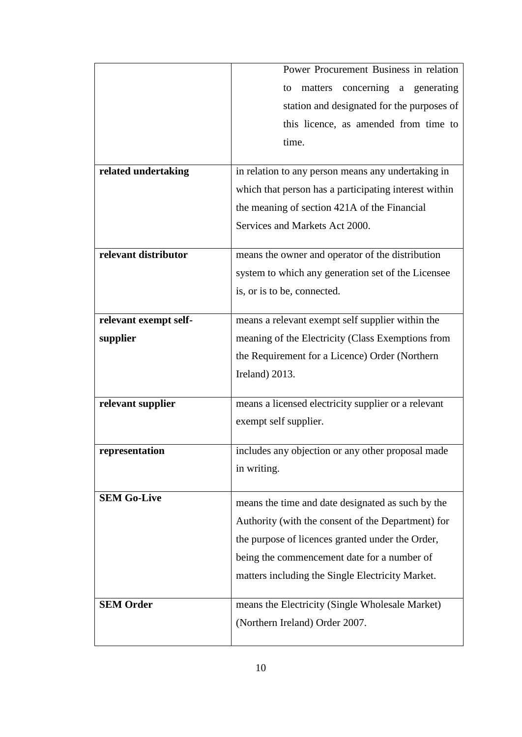|                       | Power Procurement Business in relation                |
|-----------------------|-------------------------------------------------------|
|                       | matters concerning a generating<br>to                 |
|                       | station and designated for the purposes of            |
|                       | this licence, as amended from time to                 |
|                       | time.                                                 |
|                       |                                                       |
| related undertaking   | in relation to any person means any undertaking in    |
|                       | which that person has a participating interest within |
|                       | the meaning of section 421A of the Financial          |
|                       | Services and Markets Act 2000.                        |
|                       |                                                       |
| relevant distributor  | means the owner and operator of the distribution      |
|                       | system to which any generation set of the Licensee    |
|                       | is, or is to be, connected.                           |
|                       |                                                       |
| relevant exempt self- | means a relevant exempt self supplier within the      |
| supplier              | meaning of the Electricity (Class Exemptions from     |
|                       | the Requirement for a Licence) Order (Northern        |
|                       | Ireland) 2013.                                        |
| relevant supplier     | means a licensed electricity supplier or a relevant   |
|                       | exempt self supplier.                                 |
|                       |                                                       |
| representation        | includes any objection or any other proposal made     |
|                       | in writing.                                           |
|                       |                                                       |
| <b>SEM Go-Live</b>    | means the time and date designated as such by the     |
|                       | Authority (with the consent of the Department) for    |
|                       | the purpose of licences granted under the Order,      |
|                       | being the commencement date for a number of           |
|                       | matters including the Single Electricity Market.      |
|                       |                                                       |
| <b>SEM Order</b>      | means the Electricity (Single Wholesale Market)       |
|                       | (Northern Ireland) Order 2007.                        |
|                       |                                                       |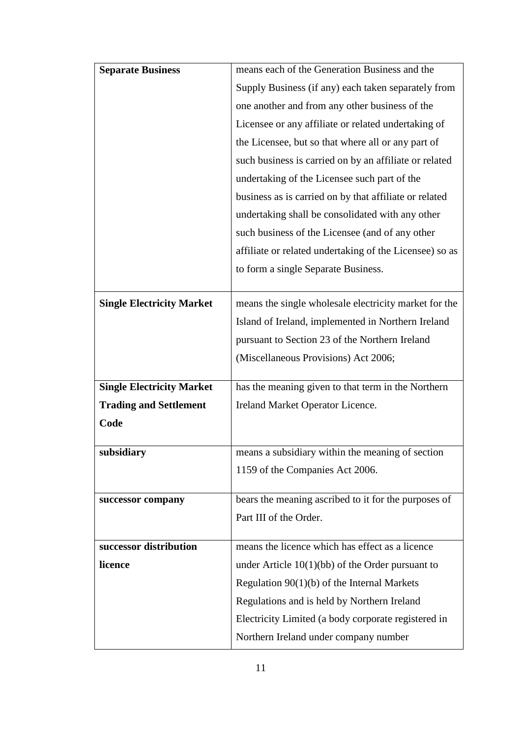| <b>Separate Business</b>         | means each of the Generation Business and the           |
|----------------------------------|---------------------------------------------------------|
|                                  | Supply Business (if any) each taken separately from     |
|                                  | one another and from any other business of the          |
|                                  | Licensee or any affiliate or related undertaking of     |
|                                  | the Licensee, but so that where all or any part of      |
|                                  | such business is carried on by an affiliate or related  |
|                                  | undertaking of the Licensee such part of the            |
|                                  | business as is carried on by that affiliate or related  |
|                                  | undertaking shall be consolidated with any other        |
|                                  | such business of the Licensee (and of any other         |
|                                  | affiliate or related undertaking of the Licensee) so as |
|                                  | to form a single Separate Business.                     |
|                                  |                                                         |
| <b>Single Electricity Market</b> | means the single wholesale electricity market for the   |
|                                  | Island of Ireland, implemented in Northern Ireland      |
|                                  | pursuant to Section 23 of the Northern Ireland          |
|                                  | (Miscellaneous Provisions) Act 2006;                    |
|                                  |                                                         |
| <b>Single Electricity Market</b> | has the meaning given to that term in the Northern      |
| <b>Trading and Settlement</b>    | Ireland Market Operator Licence.                        |
| Code                             |                                                         |
| subsidiary                       | means a subsidiary within the meaning of section        |
|                                  | 1159 of the Companies Act 2006.                         |
|                                  |                                                         |
| successor company                | bears the meaning ascribed to it for the purposes of    |
|                                  | Part III of the Order.                                  |
| successor distribution           | means the licence which has effect as a licence         |
| licence                          | under Article $10(1)(bb)$ of the Order pursuant to      |
|                                  | Regulation $90(1)(b)$ of the Internal Markets           |
|                                  | Regulations and is held by Northern Ireland             |
|                                  | Electricity Limited (a body corporate registered in     |
|                                  | Northern Ireland under company number                   |
|                                  |                                                         |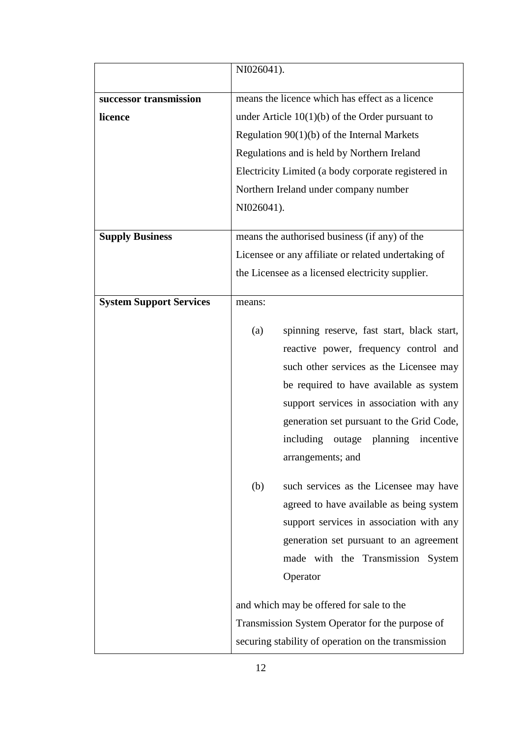|                                | NI026041).                                                                                                                                                                                                                                                                                                                                                                                                                                                                                                                                                                       |
|--------------------------------|----------------------------------------------------------------------------------------------------------------------------------------------------------------------------------------------------------------------------------------------------------------------------------------------------------------------------------------------------------------------------------------------------------------------------------------------------------------------------------------------------------------------------------------------------------------------------------|
| successor transmission         | means the licence which has effect as a licence                                                                                                                                                                                                                                                                                                                                                                                                                                                                                                                                  |
| licence                        | under Article $10(1)(b)$ of the Order pursuant to                                                                                                                                                                                                                                                                                                                                                                                                                                                                                                                                |
|                                | Regulation $90(1)(b)$ of the Internal Markets                                                                                                                                                                                                                                                                                                                                                                                                                                                                                                                                    |
|                                | Regulations and is held by Northern Ireland                                                                                                                                                                                                                                                                                                                                                                                                                                                                                                                                      |
|                                | Electricity Limited (a body corporate registered in                                                                                                                                                                                                                                                                                                                                                                                                                                                                                                                              |
|                                | Northern Ireland under company number                                                                                                                                                                                                                                                                                                                                                                                                                                                                                                                                            |
|                                | NI026041).                                                                                                                                                                                                                                                                                                                                                                                                                                                                                                                                                                       |
|                                |                                                                                                                                                                                                                                                                                                                                                                                                                                                                                                                                                                                  |
| <b>Supply Business</b>         | means the authorised business (if any) of the                                                                                                                                                                                                                                                                                                                                                                                                                                                                                                                                    |
|                                | Licensee or any affiliate or related undertaking of                                                                                                                                                                                                                                                                                                                                                                                                                                                                                                                              |
|                                | the Licensee as a licensed electricity supplier.                                                                                                                                                                                                                                                                                                                                                                                                                                                                                                                                 |
| <b>System Support Services</b> | means:                                                                                                                                                                                                                                                                                                                                                                                                                                                                                                                                                                           |
|                                | spinning reserve, fast start, black start,<br>(a)<br>reactive power, frequency control and<br>such other services as the Licensee may<br>be required to have available as system<br>support services in association with any<br>generation set pursuant to the Grid Code,<br>including<br>outage planning<br>incentive<br>arrangements; and<br>such services as the Licensee may have<br>(b)<br>agreed to have available as being system<br>support services in association with any<br>generation set pursuant to an agreement<br>made with the Transmission System<br>Operator |
|                                | and which may be offered for sale to the                                                                                                                                                                                                                                                                                                                                                                                                                                                                                                                                         |
|                                | Transmission System Operator for the purpose of                                                                                                                                                                                                                                                                                                                                                                                                                                                                                                                                  |
|                                | securing stability of operation on the transmission                                                                                                                                                                                                                                                                                                                                                                                                                                                                                                                              |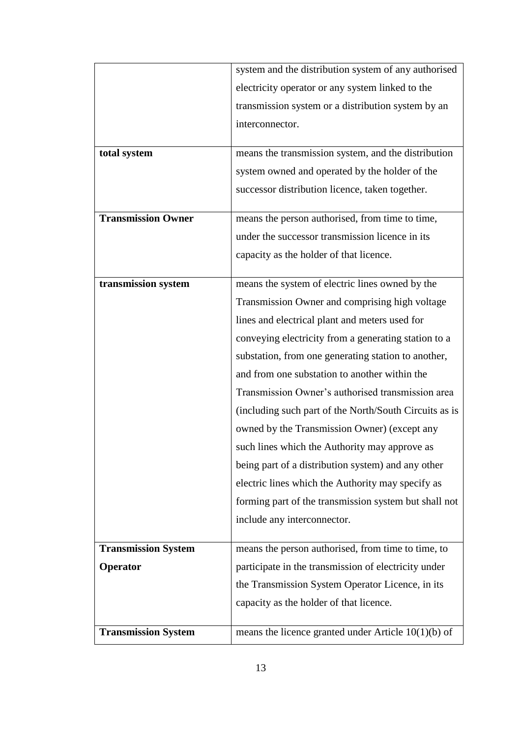|                            | system and the distribution system of any authorised   |
|----------------------------|--------------------------------------------------------|
|                            | electricity operator or any system linked to the       |
|                            | transmission system or a distribution system by an     |
|                            | interconnector.                                        |
|                            |                                                        |
| total system               | means the transmission system, and the distribution    |
|                            | system owned and operated by the holder of the         |
|                            | successor distribution licence, taken together.        |
| <b>Transmission Owner</b>  | means the person authorised, from time to time,        |
|                            | under the successor transmission licence in its        |
|                            | capacity as the holder of that licence.                |
| transmission system        | means the system of electric lines owned by the        |
|                            | Transmission Owner and comprising high voltage         |
|                            | lines and electrical plant and meters used for         |
|                            | conveying electricity from a generating station to a   |
|                            |                                                        |
|                            | substation, from one generating station to another,    |
|                            | and from one substation to another within the          |
|                            | Transmission Owner's authorised transmission area      |
|                            | (including such part of the North/South Circuits as is |
|                            | owned by the Transmission Owner) (except any           |
|                            | such lines which the Authority may approve as          |
|                            | being part of a distribution system) and any other     |
|                            | electric lines which the Authority may specify as      |
|                            | forming part of the transmission system but shall not  |
|                            | include any interconnector.                            |
| <b>Transmission System</b> | means the person authorised, from time to time, to     |
| Operator                   | participate in the transmission of electricity under   |
|                            | the Transmission System Operator Licence, in its       |
|                            | capacity as the holder of that licence.                |
| <b>Transmission System</b> | means the licence granted under Article $10(1)(b)$ of  |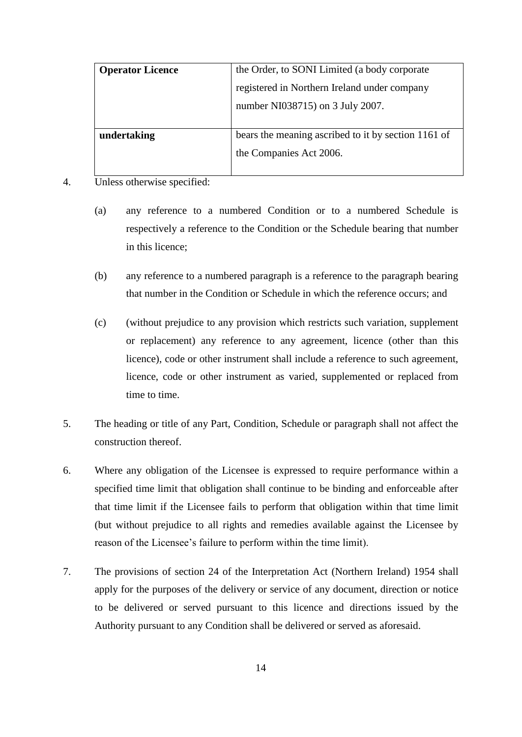| <b>Operator Licence</b> | the Order, to SONI Limited (a body corporate        |
|-------------------------|-----------------------------------------------------|
|                         | registered in Northern Ireland under company        |
|                         | number NI038715) on 3 July 2007.                    |
|                         |                                                     |
| undertaking             | bears the meaning ascribed to it by section 1161 of |
|                         | the Companies Act 2006.                             |
|                         |                                                     |

- 4. Unless otherwise specified:
	- (a) any reference to a numbered Condition or to a numbered Schedule is respectively a reference to the Condition or the Schedule bearing that number in this licence;
	- (b) any reference to a numbered paragraph is a reference to the paragraph bearing that number in the Condition or Schedule in which the reference occurs; and
	- (c) (without prejudice to any provision which restricts such variation, supplement or replacement) any reference to any agreement, licence (other than this licence), code or other instrument shall include a reference to such agreement, licence, code or other instrument as varied, supplemented or replaced from time to time.
- 5. The heading or title of any Part, Condition, Schedule or paragraph shall not affect the construction thereof.
- 6. Where any obligation of the Licensee is expressed to require performance within a specified time limit that obligation shall continue to be binding and enforceable after that time limit if the Licensee fails to perform that obligation within that time limit (but without prejudice to all rights and remedies available against the Licensee by reason of the Licensee's failure to perform within the time limit).
- 7. The provisions of section 24 of the Interpretation Act (Northern Ireland) 1954 shall apply for the purposes of the delivery or service of any document, direction or notice to be delivered or served pursuant to this licence and directions issued by the Authority pursuant to any Condition shall be delivered or served as aforesaid.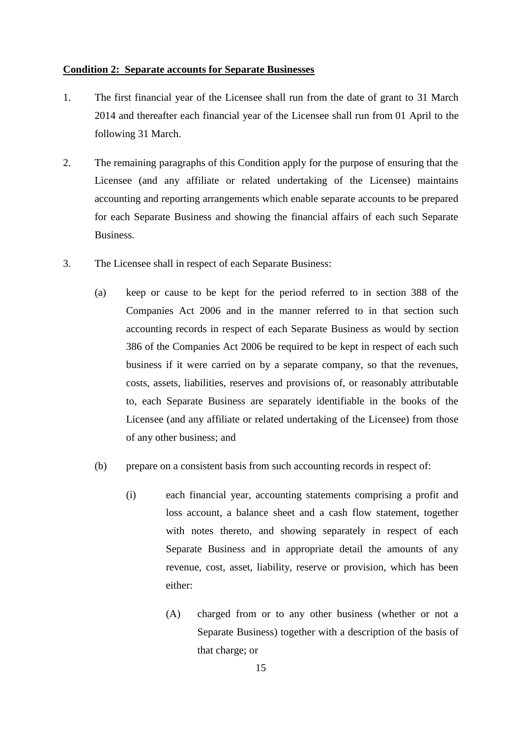#### <span id="page-16-0"></span>**Condition 2: Separate accounts for Separate Businesses**

- 1. The first financial year of the Licensee shall run from the date of grant to 31 March 2014 and thereafter each financial year of the Licensee shall run from 01 April to the following 31 March.
- 2. The remaining paragraphs of this Condition apply for the purpose of ensuring that the Licensee (and any affiliate or related undertaking of the Licensee) maintains accounting and reporting arrangements which enable separate accounts to be prepared for each Separate Business and showing the financial affairs of each such Separate Business.
- 3. The Licensee shall in respect of each Separate Business:
	- (a) keep or cause to be kept for the period referred to in section 388 of the Companies Act 2006 and in the manner referred to in that section such accounting records in respect of each Separate Business as would by section 386 of the Companies Act 2006 be required to be kept in respect of each such business if it were carried on by a separate company, so that the revenues, costs, assets, liabilities, reserves and provisions of, or reasonably attributable to, each Separate Business are separately identifiable in the books of the Licensee (and any affiliate or related undertaking of the Licensee) from those of any other business; and
	- (b) prepare on a consistent basis from such accounting records in respect of:
		- (i) each financial year, accounting statements comprising a profit and loss account, a balance sheet and a cash flow statement, together with notes thereto, and showing separately in respect of each Separate Business and in appropriate detail the amounts of any revenue, cost, asset, liability, reserve or provision, which has been either:
			- (A) charged from or to any other business (whether or not a Separate Business) together with a description of the basis of that charge; or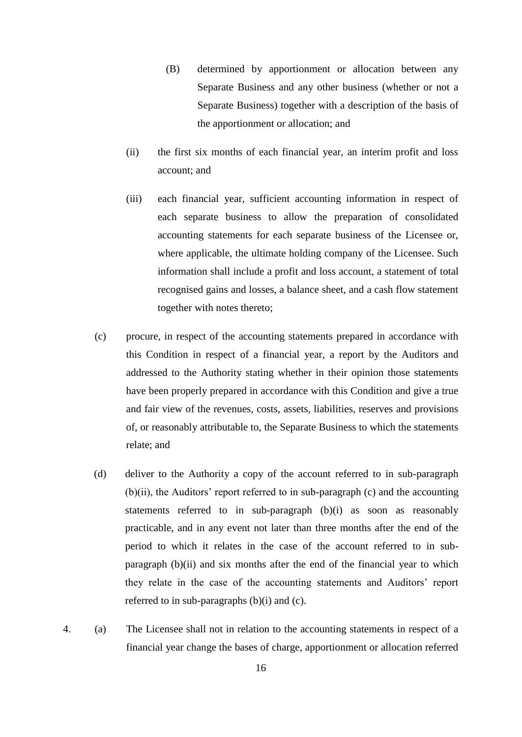- (B) determined by apportionment or allocation between any Separate Business and any other business (whether or not a Separate Business) together with a description of the basis of the apportionment or allocation; and
- (ii) the first six months of each financial year, an interim profit and loss account; and
- (iii) each financial year, sufficient accounting information in respect of each separate business to allow the preparation of consolidated accounting statements for each separate business of the Licensee or, where applicable, the ultimate holding company of the Licensee. Such information shall include a profit and loss account, a statement of total recognised gains and losses, a balance sheet, and a cash flow statement together with notes thereto;
- (c) procure, in respect of the accounting statements prepared in accordance with this Condition in respect of a financial year, a report by the Auditors and addressed to the Authority stating whether in their opinion those statements have been properly prepared in accordance with this Condition and give a true and fair view of the revenues, costs, assets, liabilities, reserves and provisions of, or reasonably attributable to, the Separate Business to which the statements relate; and
- (d) deliver to the Authority a copy of the account referred to in sub-paragraph (b)(ii), the Auditors' report referred to in sub-paragraph (c) and the accounting statements referred to in sub-paragraph (b)(i) as soon as reasonably practicable, and in any event not later than three months after the end of the period to which it relates in the case of the account referred to in subparagraph (b)(ii) and six months after the end of the financial year to which they relate in the case of the accounting statements and Auditors' report referred to in sub-paragraphs (b)(i) and (c).
- 4. (a) The Licensee shall not in relation to the accounting statements in respect of a financial year change the bases of charge, apportionment or allocation referred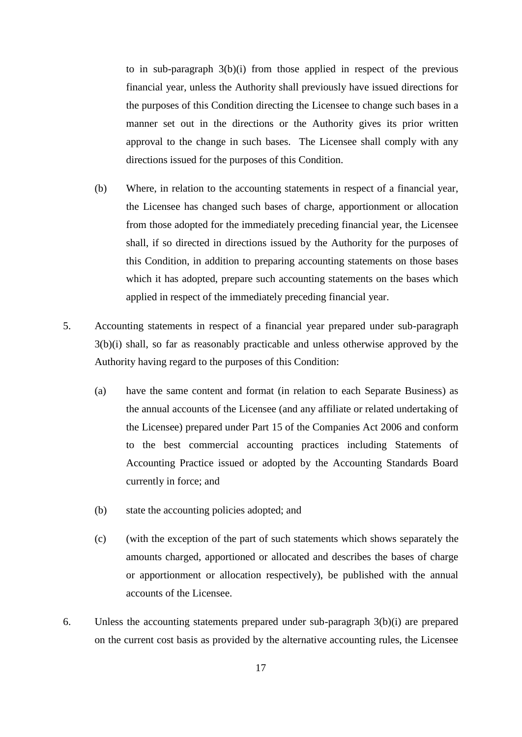to in sub-paragraph 3(b)(i) from those applied in respect of the previous financial year, unless the Authority shall previously have issued directions for the purposes of this Condition directing the Licensee to change such bases in a manner set out in the directions or the Authority gives its prior written approval to the change in such bases. The Licensee shall comply with any directions issued for the purposes of this Condition.

- (b) Where, in relation to the accounting statements in respect of a financial year, the Licensee has changed such bases of charge, apportionment or allocation from those adopted for the immediately preceding financial year, the Licensee shall, if so directed in directions issued by the Authority for the purposes of this Condition, in addition to preparing accounting statements on those bases which it has adopted, prepare such accounting statements on the bases which applied in respect of the immediately preceding financial year.
- 5. Accounting statements in respect of a financial year prepared under sub-paragraph 3(b)(i) shall, so far as reasonably practicable and unless otherwise approved by the Authority having regard to the purposes of this Condition:
	- (a) have the same content and format (in relation to each Separate Business) as the annual accounts of the Licensee (and any affiliate or related undertaking of the Licensee) prepared under Part 15 of the Companies Act 2006 and conform to the best commercial accounting practices including Statements of Accounting Practice issued or adopted by the Accounting Standards Board currently in force; and
	- (b) state the accounting policies adopted; and
	- (c) (with the exception of the part of such statements which shows separately the amounts charged, apportioned or allocated and describes the bases of charge or apportionment or allocation respectively), be published with the annual accounts of the Licensee.
- 6. Unless the accounting statements prepared under sub-paragraph 3(b)(i) are prepared on the current cost basis as provided by the alternative accounting rules, the Licensee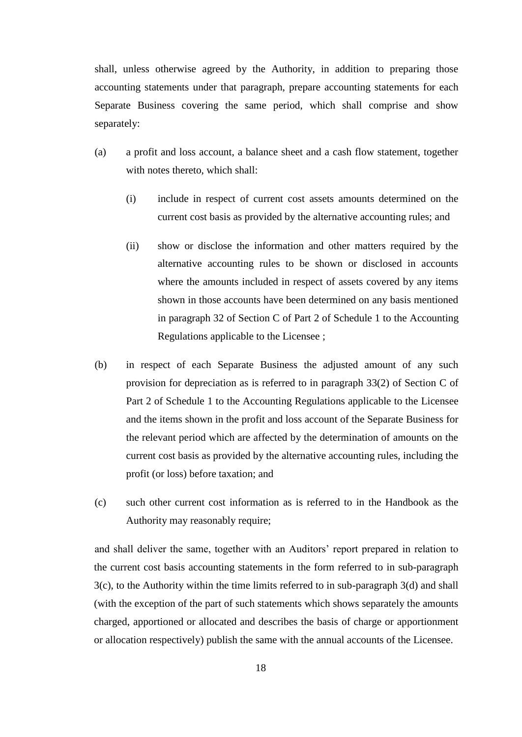shall, unless otherwise agreed by the Authority, in addition to preparing those accounting statements under that paragraph, prepare accounting statements for each Separate Business covering the same period, which shall comprise and show separately:

- (a) a profit and loss account, a balance sheet and a cash flow statement, together with notes thereto, which shall:
	- (i) include in respect of current cost assets amounts determined on the current cost basis as provided by the alternative accounting rules; and
	- (ii) show or disclose the information and other matters required by the alternative accounting rules to be shown or disclosed in accounts where the amounts included in respect of assets covered by any items shown in those accounts have been determined on any basis mentioned in paragraph 32 of Section C of Part 2 of Schedule 1 to the Accounting Regulations applicable to the Licensee ;
- (b) in respect of each Separate Business the adjusted amount of any such provision for depreciation as is referred to in paragraph 33(2) of Section C of Part 2 of Schedule 1 to the Accounting Regulations applicable to the Licensee and the items shown in the profit and loss account of the Separate Business for the relevant period which are affected by the determination of amounts on the current cost basis as provided by the alternative accounting rules, including the profit (or loss) before taxation; and
- (c) such other current cost information as is referred to in the Handbook as the Authority may reasonably require;

and shall deliver the same, together with an Auditors' report prepared in relation to the current cost basis accounting statements in the form referred to in sub-paragraph 3(c), to the Authority within the time limits referred to in sub-paragraph 3(d) and shall (with the exception of the part of such statements which shows separately the amounts charged, apportioned or allocated and describes the basis of charge or apportionment or allocation respectively) publish the same with the annual accounts of the Licensee.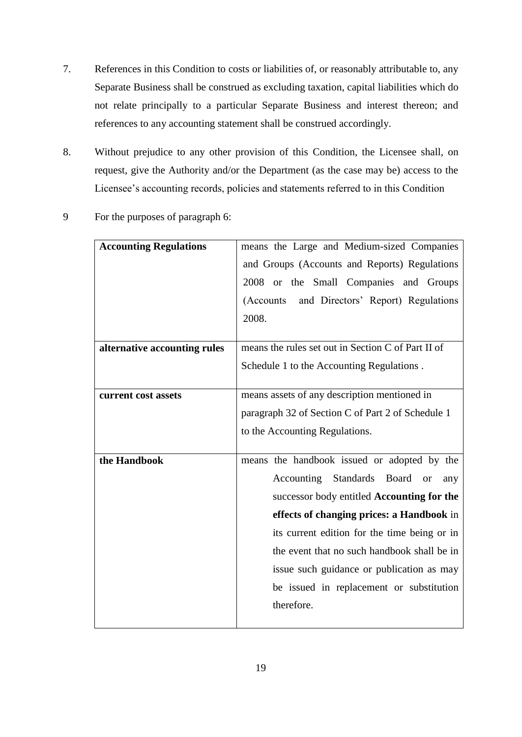- 7. References in this Condition to costs or liabilities of, or reasonably attributable to, any Separate Business shall be construed as excluding taxation, capital liabilities which do not relate principally to a particular Separate Business and interest thereon; and references to any accounting statement shall be construed accordingly.
- 8. Without prejudice to any other provision of this Condition, the Licensee shall, on request, give the Authority and/or the Department (as the case may be) access to the Licensee's accounting records, policies and statements referred to in this Condition
- 9 For the purposes of paragraph 6:

| <b>Accounting Regulations</b> | means the Large and Medium-sized Companies         |
|-------------------------------|----------------------------------------------------|
|                               | and Groups (Accounts and Reports) Regulations      |
|                               | 2008 or the Small Companies and Groups             |
|                               | and Directors' Report) Regulations<br>(Accounts)   |
|                               | 2008.                                              |
|                               |                                                    |
| alternative accounting rules  | means the rules set out in Section C of Part II of |
|                               | Schedule 1 to the Accounting Regulations.          |
|                               |                                                    |
| current cost assets           | means assets of any description mentioned in       |
|                               | paragraph 32 of Section C of Part 2 of Schedule 1  |
|                               | to the Accounting Regulations.                     |
|                               |                                                    |
| the Handbook                  | means the handbook issued or adopted by the        |
|                               | Accounting Standards Board<br><b>or</b><br>any     |
|                               | successor body entitled Accounting for the         |
|                               | effects of changing prices: a Handbook in          |
|                               | its current edition for the time being or in       |
|                               | the event that no such handbook shall be in        |
|                               | issue such guidance or publication as may          |
|                               | be issued in replacement or substitution           |
|                               | therefore.                                         |
|                               |                                                    |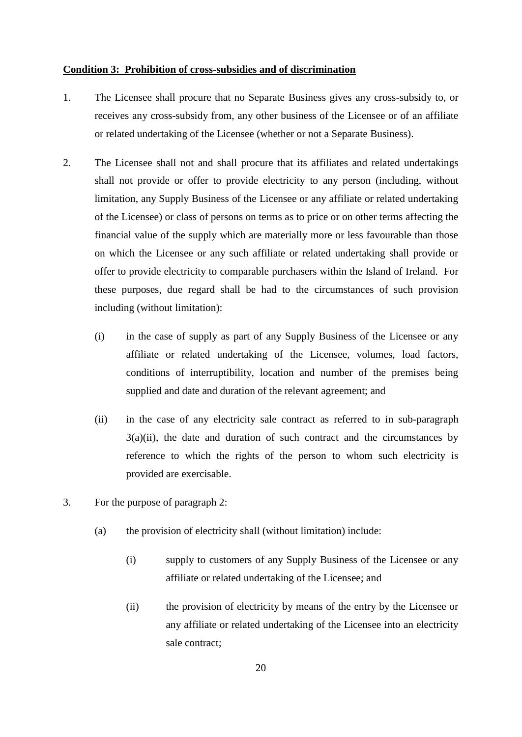#### <span id="page-21-0"></span>**Condition 3: Prohibition of cross-subsidies and of discrimination**

- 1. The Licensee shall procure that no Separate Business gives any cross-subsidy to, or receives any cross-subsidy from, any other business of the Licensee or of an affiliate or related undertaking of the Licensee (whether or not a Separate Business).
- 2. The Licensee shall not and shall procure that its affiliates and related undertakings shall not provide or offer to provide electricity to any person (including, without limitation, any Supply Business of the Licensee or any affiliate or related undertaking of the Licensee) or class of persons on terms as to price or on other terms affecting the financial value of the supply which are materially more or less favourable than those on which the Licensee or any such affiliate or related undertaking shall provide or offer to provide electricity to comparable purchasers within the Island of Ireland. For these purposes, due regard shall be had to the circumstances of such provision including (without limitation):
	- (i) in the case of supply as part of any Supply Business of the Licensee or any affiliate or related undertaking of the Licensee, volumes, load factors, conditions of interruptibility, location and number of the premises being supplied and date and duration of the relevant agreement; and
	- (ii) in the case of any electricity sale contract as referred to in sub-paragraph  $3(a)(ii)$ , the date and duration of such contract and the circumstances by reference to which the rights of the person to whom such electricity is provided are exercisable.
- 3. For the purpose of paragraph 2:
	- (a) the provision of electricity shall (without limitation) include:
		- (i) supply to customers of any Supply Business of the Licensee or any affiliate or related undertaking of the Licensee; and
		- (ii) the provision of electricity by means of the entry by the Licensee or any affiliate or related undertaking of the Licensee into an electricity sale contract;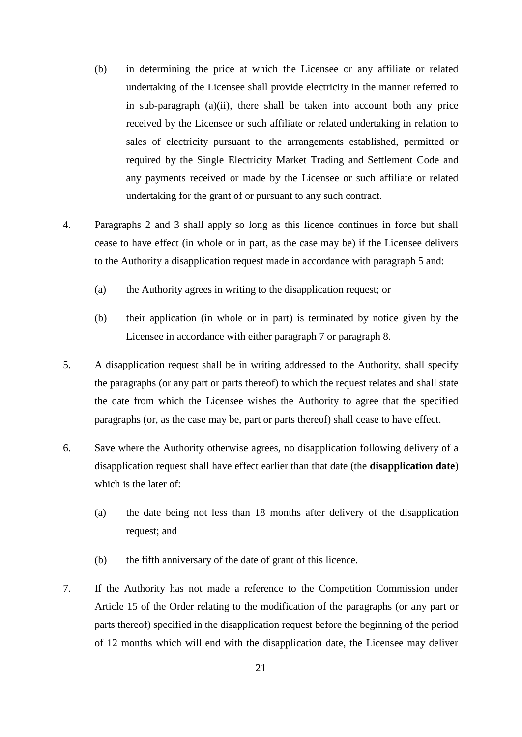- (b) in determining the price at which the Licensee or any affiliate or related undertaking of the Licensee shall provide electricity in the manner referred to in sub-paragraph  $(a)(ii)$ , there shall be taken into account both any price received by the Licensee or such affiliate or related undertaking in relation to sales of electricity pursuant to the arrangements established, permitted or required by the Single Electricity Market Trading and Settlement Code and any payments received or made by the Licensee or such affiliate or related undertaking for the grant of or pursuant to any such contract.
- 4. Paragraphs 2 and 3 shall apply so long as this licence continues in force but shall cease to have effect (in whole or in part, as the case may be) if the Licensee delivers to the Authority a disapplication request made in accordance with paragraph 5 and:
	- (a) the Authority agrees in writing to the disapplication request; or
	- (b) their application (in whole or in part) is terminated by notice given by the Licensee in accordance with either paragraph 7 or paragraph 8.
- 5. A disapplication request shall be in writing addressed to the Authority, shall specify the paragraphs (or any part or parts thereof) to which the request relates and shall state the date from which the Licensee wishes the Authority to agree that the specified paragraphs (or, as the case may be, part or parts thereof) shall cease to have effect.
- 6. Save where the Authority otherwise agrees, no disapplication following delivery of a disapplication request shall have effect earlier than that date (the **disapplication date**) which is the later of:
	- (a) the date being not less than 18 months after delivery of the disapplication request; and
	- (b) the fifth anniversary of the date of grant of this licence.
- 7. If the Authority has not made a reference to the Competition Commission under Article 15 of the Order relating to the modification of the paragraphs (or any part or parts thereof) specified in the disapplication request before the beginning of the period of 12 months which will end with the disapplication date, the Licensee may deliver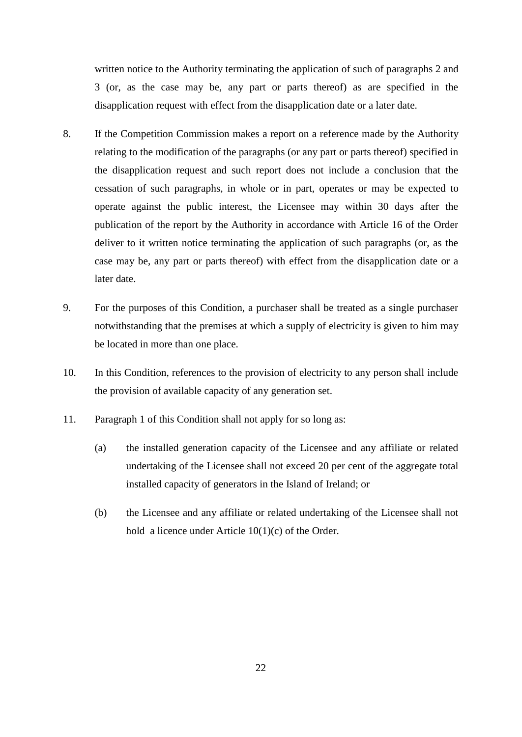written notice to the Authority terminating the application of such of paragraphs 2 and 3 (or, as the case may be, any part or parts thereof) as are specified in the disapplication request with effect from the disapplication date or a later date.

- 8. If the Competition Commission makes a report on a reference made by the Authority relating to the modification of the paragraphs (or any part or parts thereof) specified in the disapplication request and such report does not include a conclusion that the cessation of such paragraphs, in whole or in part, operates or may be expected to operate against the public interest, the Licensee may within 30 days after the publication of the report by the Authority in accordance with Article 16 of the Order deliver to it written notice terminating the application of such paragraphs (or, as the case may be, any part or parts thereof) with effect from the disapplication date or a later date.
- 9. For the purposes of this Condition, a purchaser shall be treated as a single purchaser notwithstanding that the premises at which a supply of electricity is given to him may be located in more than one place.
- 10. In this Condition, references to the provision of electricity to any person shall include the provision of available capacity of any generation set.
- 11. Paragraph 1 of this Condition shall not apply for so long as:
	- (a) the installed generation capacity of the Licensee and any affiliate or related undertaking of the Licensee shall not exceed 20 per cent of the aggregate total installed capacity of generators in the Island of Ireland; or
	- (b) the Licensee and any affiliate or related undertaking of the Licensee shall not hold a licence under Article 10(1)(c) of the Order.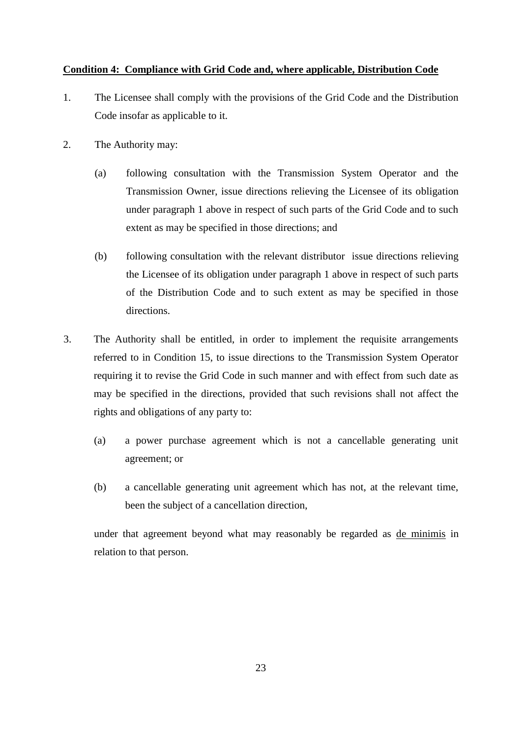## <span id="page-24-0"></span>**Condition 4: Compliance with Grid Code and, where applicable, Distribution Code**

- 1. The Licensee shall comply with the provisions of the Grid Code and the Distribution Code insofar as applicable to it.
- 2. The Authority may:
	- (a) following consultation with the Transmission System Operator and the Transmission Owner, issue directions relieving the Licensee of its obligation under paragraph 1 above in respect of such parts of the Grid Code and to such extent as may be specified in those directions; and
	- (b) following consultation with the relevant distributor issue directions relieving the Licensee of its obligation under paragraph 1 above in respect of such parts of the Distribution Code and to such extent as may be specified in those directions.
- 3. The Authority shall be entitled, in order to implement the requisite arrangements referred to in Condition 15, to issue directions to the Transmission System Operator requiring it to revise the Grid Code in such manner and with effect from such date as may be specified in the directions, provided that such revisions shall not affect the rights and obligations of any party to:
	- (a) a power purchase agreement which is not a cancellable generating unit agreement; or
	- (b) a cancellable generating unit agreement which has not, at the relevant time, been the subject of a cancellation direction,

under that agreement beyond what may reasonably be regarded as de minimis in relation to that person.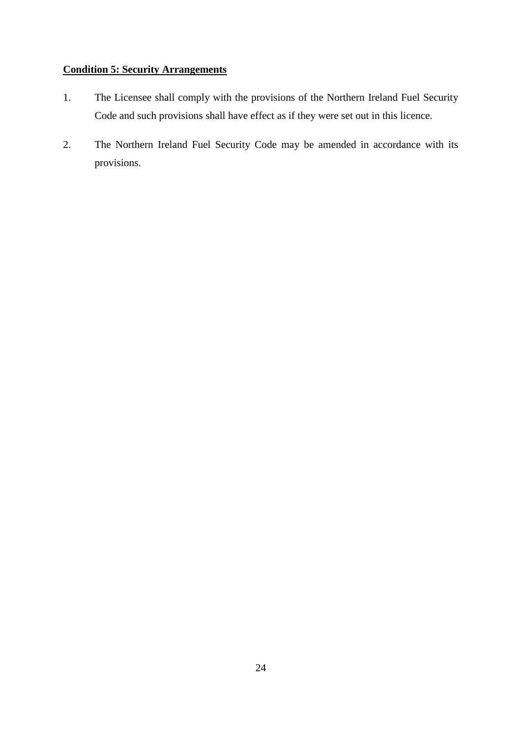## <span id="page-25-0"></span>**Condition 5: Security Arrangements**

- 1. The Licensee shall comply with the provisions of the Northern Ireland Fuel Security Code and such provisions shall have effect as if they were set out in this licence.
- 2. The Northern Ireland Fuel Security Code may be amended in accordance with its provisions.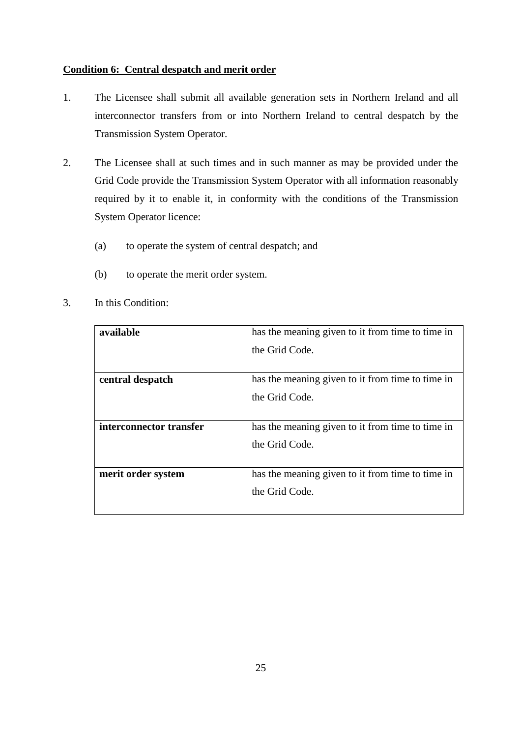## <span id="page-26-0"></span>**Condition 6: Central despatch and merit order**

- 1. The Licensee shall submit all available generation sets in Northern Ireland and all interconnector transfers from or into Northern Ireland to central despatch by the Transmission System Operator.
- 2. The Licensee shall at such times and in such manner as may be provided under the Grid Code provide the Transmission System Operator with all information reasonably required by it to enable it, in conformity with the conditions of the Transmission System Operator licence:
	- (a) to operate the system of central despatch; and
	- (b) to operate the merit order system.

| available               | has the meaning given to it from time to time in |
|-------------------------|--------------------------------------------------|
|                         | the Grid Code.                                   |
|                         |                                                  |
| central despatch        | has the meaning given to it from time to time in |
|                         | the Grid Code.                                   |
|                         |                                                  |
| interconnector transfer | has the meaning given to it from time to time in |
|                         | the Grid Code.                                   |
|                         |                                                  |
| merit order system      | has the meaning given to it from time to time in |
|                         | the Grid Code.                                   |
|                         |                                                  |

3. In this Condition: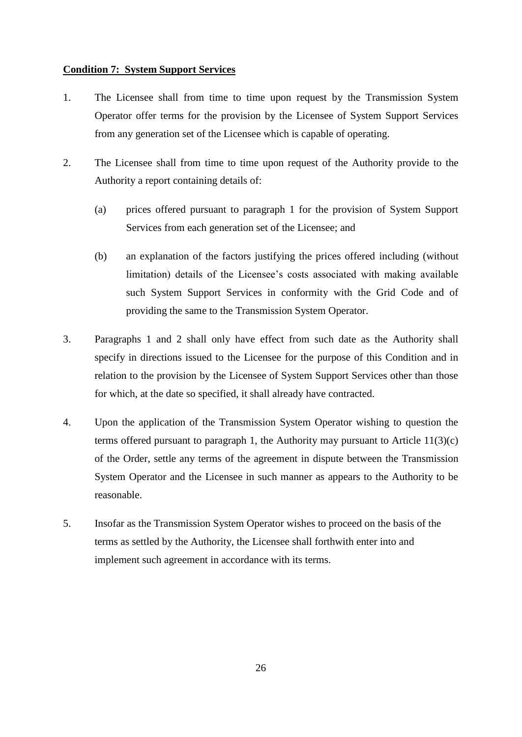### **Condition 7: System Support Services**

- 1. The Licensee shall from time to time upon request by the Transmission System Operator offer terms for the provision by the Licensee of System Support Services from any generation set of the Licensee which is capable of operating.
- 2. The Licensee shall from time to time upon request of the Authority provide to the Authority a report containing details of:
	- (a) prices offered pursuant to paragraph 1 for the provision of System Support Services from each generation set of the Licensee; and
	- (b) an explanation of the factors justifying the prices offered including (without limitation) details of the Licensee's costs associated with making available such System Support Services in conformity with the Grid Code and of providing the same to the Transmission System Operator.
- 3. Paragraphs 1 and 2 shall only have effect from such date as the Authority shall specify in directions issued to the Licensee for the purpose of this Condition and in relation to the provision by the Licensee of System Support Services other than those for which, at the date so specified, it shall already have contracted.
- 4. Upon the application of the Transmission System Operator wishing to question the terms offered pursuant to paragraph 1, the Authority may pursuant to Article 11(3)(c) of the Order, settle any terms of the agreement in dispute between the Transmission System Operator and the Licensee in such manner as appears to the Authority to be reasonable.
- 5. Insofar as the Transmission System Operator wishes to proceed on the basis of the terms as settled by the Authority, the Licensee shall forthwith enter into and implement such agreement in accordance with its terms.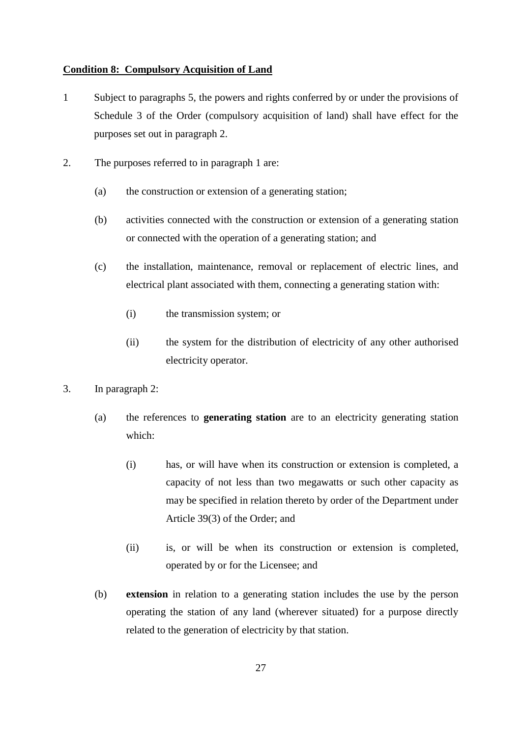#### <span id="page-28-0"></span>**Condition 8: Compulsory Acquisition of Land**

- 1 Subject to paragraphs 5, the powers and rights conferred by or under the provisions of Schedule 3 of the Order (compulsory acquisition of land) shall have effect for the purposes set out in paragraph 2.
- 2. The purposes referred to in paragraph 1 are:
	- (a) the construction or extension of a generating station;
	- (b) activities connected with the construction or extension of a generating station or connected with the operation of a generating station; and
	- (c) the installation, maintenance, removal or replacement of electric lines, and electrical plant associated with them, connecting a generating station with:
		- (i) the transmission system; or
		- (ii) the system for the distribution of electricity of any other authorised electricity operator.
- 3. In paragraph 2:
	- (a) the references to **generating station** are to an electricity generating station which:
		- (i) has, or will have when its construction or extension is completed, a capacity of not less than two megawatts or such other capacity as may be specified in relation thereto by order of the Department under Article 39(3) of the Order; and
		- (ii) is, or will be when its construction or extension is completed, operated by or for the Licensee; and
	- (b) **extension** in relation to a generating station includes the use by the person operating the station of any land (wherever situated) for a purpose directly related to the generation of electricity by that station.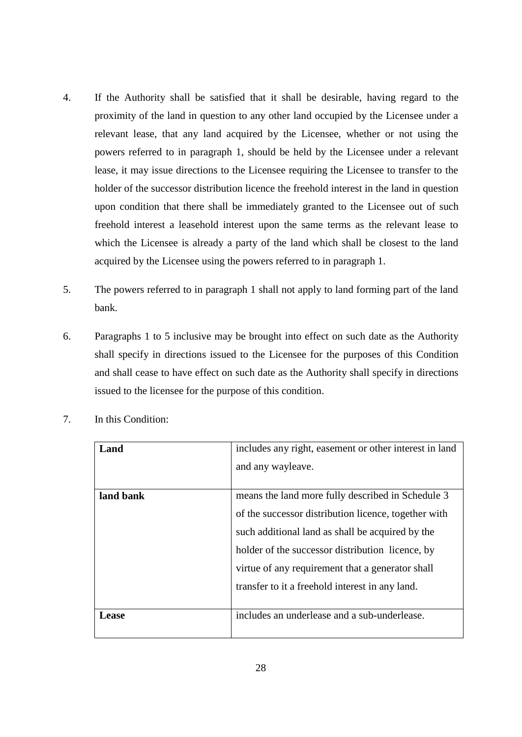- 4. If the Authority shall be satisfied that it shall be desirable, having regard to the proximity of the land in question to any other land occupied by the Licensee under a relevant lease, that any land acquired by the Licensee, whether or not using the powers referred to in paragraph 1, should be held by the Licensee under a relevant lease, it may issue directions to the Licensee requiring the Licensee to transfer to the holder of the successor distribution licence the freehold interest in the land in question upon condition that there shall be immediately granted to the Licensee out of such freehold interest a leasehold interest upon the same terms as the relevant lease to which the Licensee is already a party of the land which shall be closest to the land acquired by the Licensee using the powers referred to in paragraph 1.
- 5. The powers referred to in paragraph 1 shall not apply to land forming part of the land bank.
- 6. Paragraphs 1 to 5 inclusive may be brought into effect on such date as the Authority shall specify in directions issued to the Licensee for the purposes of this Condition and shall cease to have effect on such date as the Authority shall specify in directions issued to the licensee for the purpose of this condition.

| Land      | includes any right, easement or other interest in land |
|-----------|--------------------------------------------------------|
|           | and any wayleave.                                      |
|           |                                                        |
| land bank | means the land more fully described in Schedule 3      |
|           | of the successor distribution licence, together with   |
|           | such additional land as shall be acquired by the       |
|           | holder of the successor distribution licence, by       |
|           | virtue of any requirement that a generator shall       |
|           | transfer to it a freehold interest in any land.        |
|           |                                                        |
| Lease     | includes an underlease and a sub-underlease.           |
|           |                                                        |

7. In this Condition: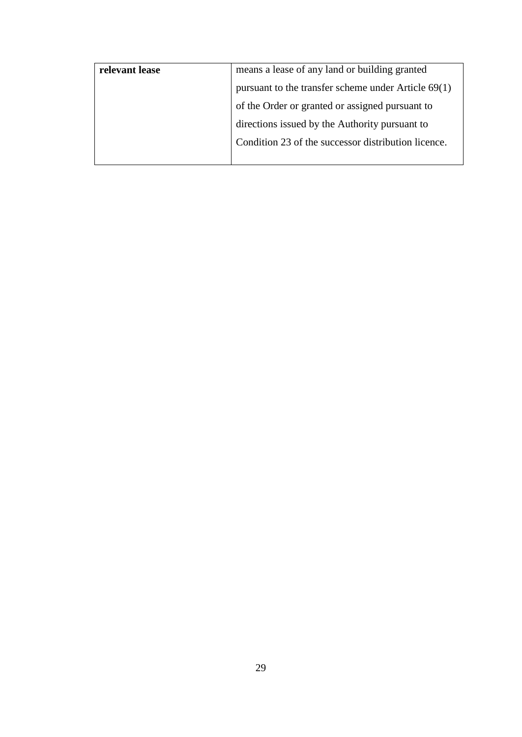| relevant lease | means a lease of any land or building granted         |
|----------------|-------------------------------------------------------|
|                | pursuant to the transfer scheme under Article $69(1)$ |
|                | of the Order or granted or assigned pursuant to       |
|                | directions issued by the Authority pursuant to        |
|                | Condition 23 of the successor distribution licence.   |
|                |                                                       |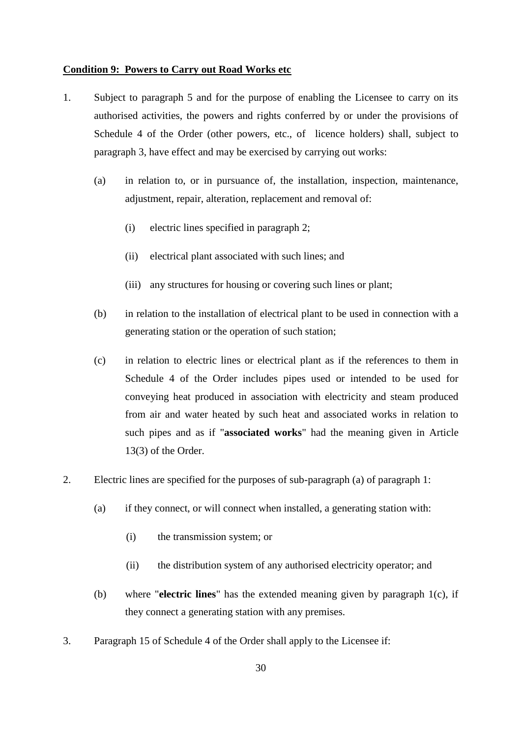#### <span id="page-31-0"></span>**Condition 9: Powers to Carry out Road Works etc**

- 1. Subject to paragraph 5 and for the purpose of enabling the Licensee to carry on its authorised activities, the powers and rights conferred by or under the provisions of Schedule 4 of the Order (other powers, etc., of licence holders) shall, subject to paragraph 3, have effect and may be exercised by carrying out works:
	- (a) in relation to, or in pursuance of, the installation, inspection, maintenance, adjustment, repair, alteration, replacement and removal of:
		- (i) electric lines specified in paragraph 2;
		- (ii) electrical plant associated with such lines; and
		- (iii) any structures for housing or covering such lines or plant;
	- (b) in relation to the installation of electrical plant to be used in connection with a generating station or the operation of such station;
	- (c) in relation to electric lines or electrical plant as if the references to them in Schedule 4 of the Order includes pipes used or intended to be used for conveying heat produced in association with electricity and steam produced from air and water heated by such heat and associated works in relation to such pipes and as if "**associated works**" had the meaning given in Article 13(3) of the Order.
- 2. Electric lines are specified for the purposes of sub-paragraph (a) of paragraph 1:
	- (a) if they connect, or will connect when installed, a generating station with:
		- (i) the transmission system; or
		- (ii) the distribution system of any authorised electricity operator; and
	- (b) where "**electric lines**" has the extended meaning given by paragraph 1(c), if they connect a generating station with any premises.
- 3. Paragraph 15 of Schedule 4 of the Order shall apply to the Licensee if: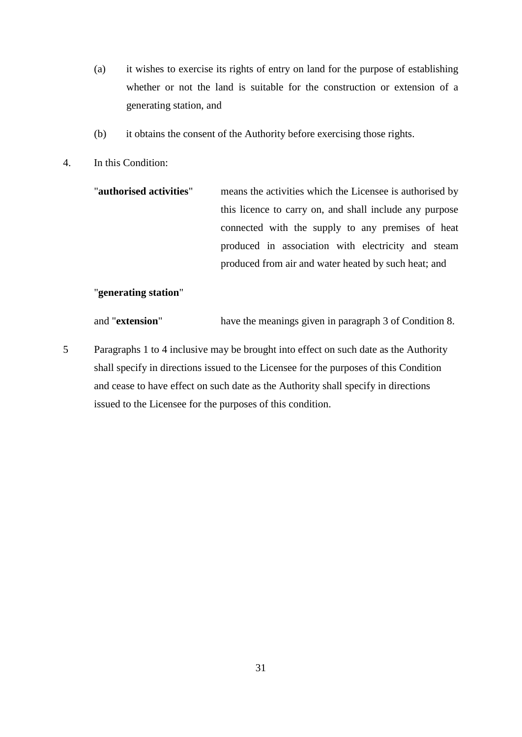- (a) it wishes to exercise its rights of entry on land for the purpose of establishing whether or not the land is suitable for the construction or extension of a generating station, and
- (b) it obtains the consent of the Authority before exercising those rights.
- 4. In this Condition:

| "authorised activities" | means the activities which the Licensee is authorised by |
|-------------------------|----------------------------------------------------------|
|                         | this licence to carry on, and shall include any purpose  |
|                         | connected with the supply to any premises of heat        |
|                         | produced in association with electricity and steam       |
|                         | produced from air and water heated by such heat; and     |

### "**generating station**"

and "**extension**" have the meanings given in paragraph 3 of Condition 8.

5 Paragraphs 1 to 4 inclusive may be brought into effect on such date as the Authority shall specify in directions issued to the Licensee for the purposes of this Condition and cease to have effect on such date as the Authority shall specify in directions issued to the Licensee for the purposes of this condition.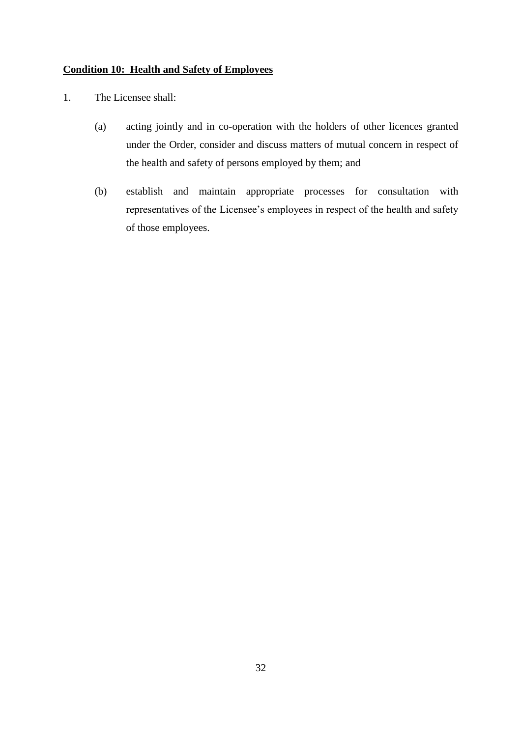## <span id="page-33-0"></span>**Condition 10: Health and Safety of Employees**

- 1. The Licensee shall:
	- (a) acting jointly and in co-operation with the holders of other licences granted under the Order, consider and discuss matters of mutual concern in respect of the health and safety of persons employed by them; and
	- (b) establish and maintain appropriate processes for consultation with representatives of the Licensee's employees in respect of the health and safety of those employees.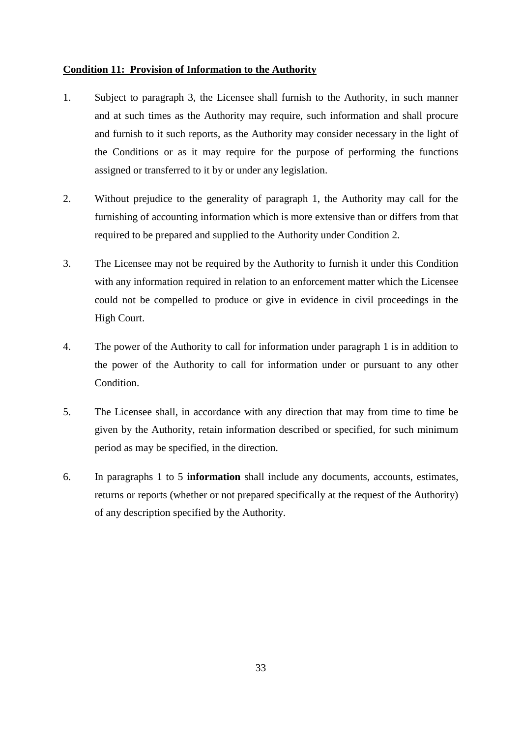#### <span id="page-34-0"></span>**Condition 11: Provision of Information to the Authority**

- 1. Subject to paragraph 3, the Licensee shall furnish to the Authority, in such manner and at such times as the Authority may require, such information and shall procure and furnish to it such reports, as the Authority may consider necessary in the light of the Conditions or as it may require for the purpose of performing the functions assigned or transferred to it by or under any legislation.
- 2. Without prejudice to the generality of paragraph 1, the Authority may call for the furnishing of accounting information which is more extensive than or differs from that required to be prepared and supplied to the Authority under Condition 2.
- 3. The Licensee may not be required by the Authority to furnish it under this Condition with any information required in relation to an enforcement matter which the Licensee could not be compelled to produce or give in evidence in civil proceedings in the High Court.
- 4. The power of the Authority to call for information under paragraph 1 is in addition to the power of the Authority to call for information under or pursuant to any other Condition.
- 5. The Licensee shall, in accordance with any direction that may from time to time be given by the Authority, retain information described or specified, for such minimum period as may be specified, in the direction.
- 6. In paragraphs 1 to 5 **information** shall include any documents, accounts, estimates, returns or reports (whether or not prepared specifically at the request of the Authority) of any description specified by the Authority.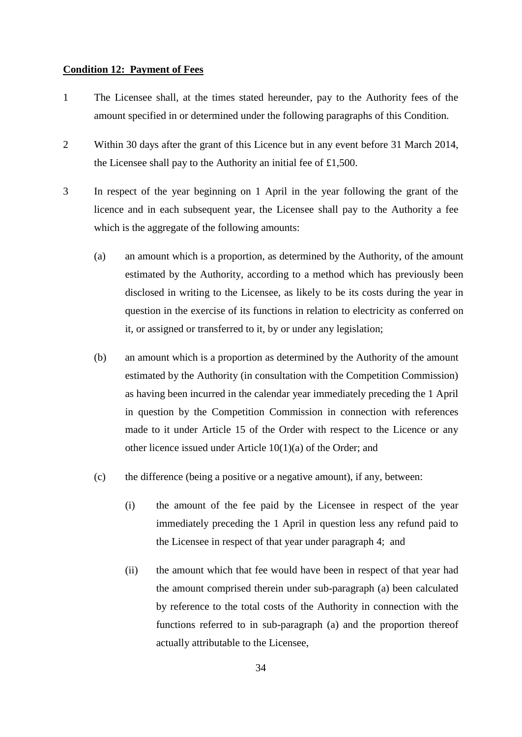#### <span id="page-35-0"></span>**Condition 12: Payment of Fees**

- 1 The Licensee shall, at the times stated hereunder, pay to the Authority fees of the amount specified in or determined under the following paragraphs of this Condition.
- 2 Within 30 days after the grant of this Licence but in any event before 31 March 2014, the Licensee shall pay to the Authority an initial fee of £1,500.
- 3 In respect of the year beginning on 1 April in the year following the grant of the licence and in each subsequent year, the Licensee shall pay to the Authority a fee which is the aggregate of the following amounts:
	- (a) an amount which is a proportion, as determined by the Authority, of the amount estimated by the Authority, according to a method which has previously been disclosed in writing to the Licensee, as likely to be its costs during the year in question in the exercise of its functions in relation to electricity as conferred on it, or assigned or transferred to it, by or under any legislation;
	- (b) an amount which is a proportion as determined by the Authority of the amount estimated by the Authority (in consultation with the Competition Commission) as having been incurred in the calendar year immediately preceding the 1 April in question by the Competition Commission in connection with references made to it under Article 15 of the Order with respect to the Licence or any other licence issued under Article 10(1)(a) of the Order; and
	- (c) the difference (being a positive or a negative amount), if any, between:
		- (i) the amount of the fee paid by the Licensee in respect of the year immediately preceding the 1 April in question less any refund paid to the Licensee in respect of that year under paragraph 4; and
		- (ii) the amount which that fee would have been in respect of that year had the amount comprised therein under sub-paragraph (a) been calculated by reference to the total costs of the Authority in connection with the functions referred to in sub-paragraph (a) and the proportion thereof actually attributable to the Licensee,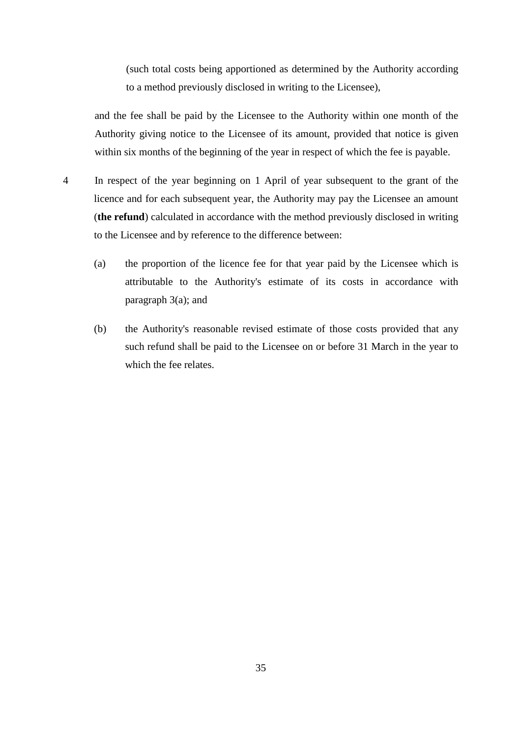(such total costs being apportioned as determined by the Authority according to a method previously disclosed in writing to the Licensee),

and the fee shall be paid by the Licensee to the Authority within one month of the Authority giving notice to the Licensee of its amount, provided that notice is given within six months of the beginning of the year in respect of which the fee is payable.

- 4 In respect of the year beginning on 1 April of year subsequent to the grant of the licence and for each subsequent year, the Authority may pay the Licensee an amount (**the refund**) calculated in accordance with the method previously disclosed in writing to the Licensee and by reference to the difference between:
	- (a) the proportion of the licence fee for that year paid by the Licensee which is attributable to the Authority's estimate of its costs in accordance with paragraph 3(a); and
	- (b) the Authority's reasonable revised estimate of those costs provided that any such refund shall be paid to the Licensee on or before 31 March in the year to which the fee relates.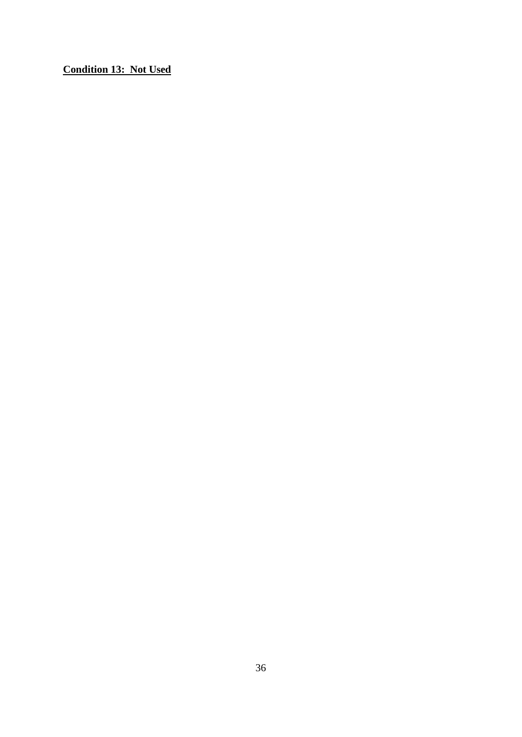<span id="page-37-0"></span>**Condition 13: Not Used**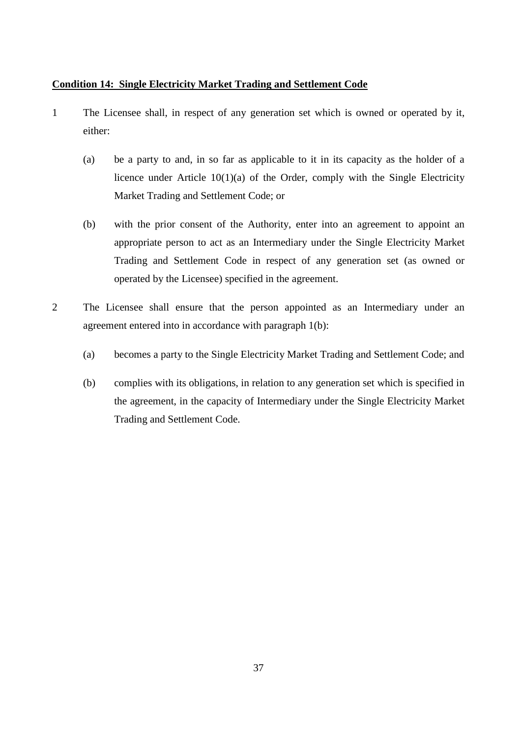## <span id="page-38-0"></span>**Condition 14: Single Electricity Market Trading and Settlement Code**

- 1 The Licensee shall, in respect of any generation set which is owned or operated by it, either:
	- (a) be a party to and, in so far as applicable to it in its capacity as the holder of a licence under Article 10(1)(a) of the Order, comply with the Single Electricity Market Trading and Settlement Code; or
	- (b) with the prior consent of the Authority, enter into an agreement to appoint an appropriate person to act as an Intermediary under the Single Electricity Market Trading and Settlement Code in respect of any generation set (as owned or operated by the Licensee) specified in the agreement.
- 2 The Licensee shall ensure that the person appointed as an Intermediary under an agreement entered into in accordance with paragraph 1(b):
	- (a) becomes a party to the Single Electricity Market Trading and Settlement Code; and
	- (b) complies with its obligations, in relation to any generation set which is specified in the agreement, in the capacity of Intermediary under the Single Electricity Market Trading and Settlement Code.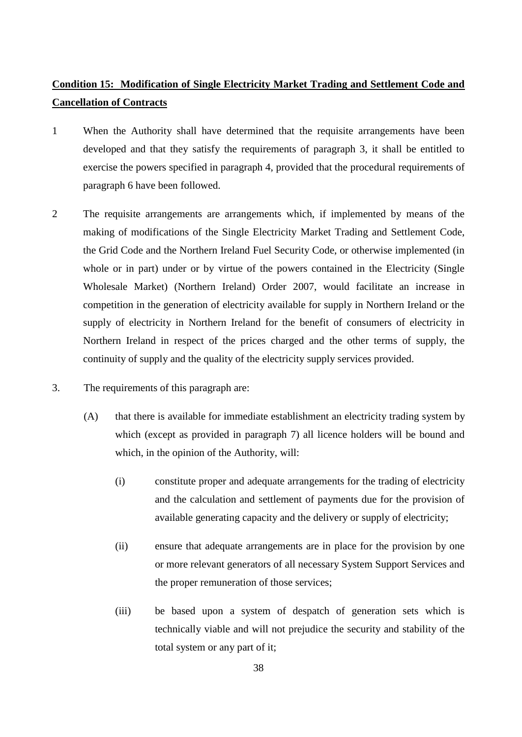# **Condition 15: Modification of Single Electricity Market Trading and Settlement Code and Cancellation of Contracts**

- 1 When the Authority shall have determined that the requisite arrangements have been developed and that they satisfy the requirements of paragraph 3, it shall be entitled to exercise the powers specified in paragraph 4, provided that the procedural requirements of paragraph 6 have been followed.
- 2 The requisite arrangements are arrangements which, if implemented by means of the making of modifications of the Single Electricity Market Trading and Settlement Code, the Grid Code and the Northern Ireland Fuel Security Code, or otherwise implemented (in whole or in part) under or by virtue of the powers contained in the Electricity (Single Wholesale Market) (Northern Ireland) Order 2007, would facilitate an increase in competition in the generation of electricity available for supply in Northern Ireland or the supply of electricity in Northern Ireland for the benefit of consumers of electricity in Northern Ireland in respect of the prices charged and the other terms of supply, the continuity of supply and the quality of the electricity supply services provided.
- 3. The requirements of this paragraph are:
	- (A) that there is available for immediate establishment an electricity trading system by which (except as provided in paragraph 7) all licence holders will be bound and which, in the opinion of the Authority, will:
		- (i) constitute proper and adequate arrangements for the trading of electricity and the calculation and settlement of payments due for the provision of available generating capacity and the delivery or supply of electricity;
		- (ii) ensure that adequate arrangements are in place for the provision by one or more relevant generators of all necessary System Support Services and the proper remuneration of those services;
		- (iii) be based upon a system of despatch of generation sets which is technically viable and will not prejudice the security and stability of the total system or any part of it;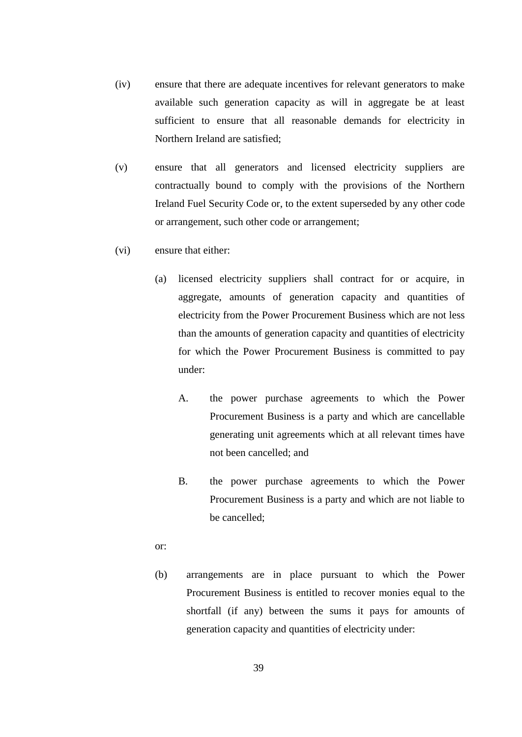- (iv) ensure that there are adequate incentives for relevant generators to make available such generation capacity as will in aggregate be at least sufficient to ensure that all reasonable demands for electricity in Northern Ireland are satisfied;
- (v) ensure that all generators and licensed electricity suppliers are contractually bound to comply with the provisions of the Northern Ireland Fuel Security Code or, to the extent superseded by any other code or arrangement, such other code or arrangement;
- (vi) ensure that either:
	- (a) licensed electricity suppliers shall contract for or acquire, in aggregate, amounts of generation capacity and quantities of electricity from the Power Procurement Business which are not less than the amounts of generation capacity and quantities of electricity for which the Power Procurement Business is committed to pay under:
		- A. the power purchase agreements to which the Power Procurement Business is a party and which are cancellable generating unit agreements which at all relevant times have not been cancelled; and
		- B. the power purchase agreements to which the Power Procurement Business is a party and which are not liable to be cancelled;
	- or:
	- (b) arrangements are in place pursuant to which the Power Procurement Business is entitled to recover monies equal to the shortfall (if any) between the sums it pays for amounts of generation capacity and quantities of electricity under: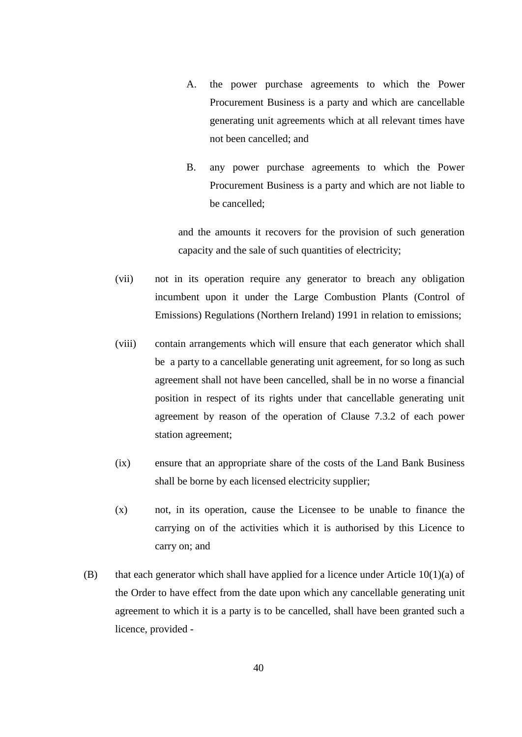- A. the power purchase agreements to which the Power Procurement Business is a party and which are cancellable generating unit agreements which at all relevant times have not been cancelled; and
- B. any power purchase agreements to which the Power Procurement Business is a party and which are not liable to be cancelled;

and the amounts it recovers for the provision of such generation capacity and the sale of such quantities of electricity;

- (vii) not in its operation require any generator to breach any obligation incumbent upon it under the Large Combustion Plants (Control of Emissions) Regulations (Northern Ireland) 1991 in relation to emissions;
- (viii) contain arrangements which will ensure that each generator which shall be a party to a cancellable generating unit agreement, for so long as such agreement shall not have been cancelled, shall be in no worse a financial position in respect of its rights under that cancellable generating unit agreement by reason of the operation of Clause 7.3.2 of each power station agreement;
- (ix) ensure that an appropriate share of the costs of the Land Bank Business shall be borne by each licensed electricity supplier;
- (x) not, in its operation, cause the Licensee to be unable to finance the carrying on of the activities which it is authorised by this Licence to carry on; and
- (B) that each generator which shall have applied for a licence under Article  $10(1)(a)$  of the Order to have effect from the date upon which any cancellable generating unit agreement to which it is a party is to be cancelled, shall have been granted such a licence, provided -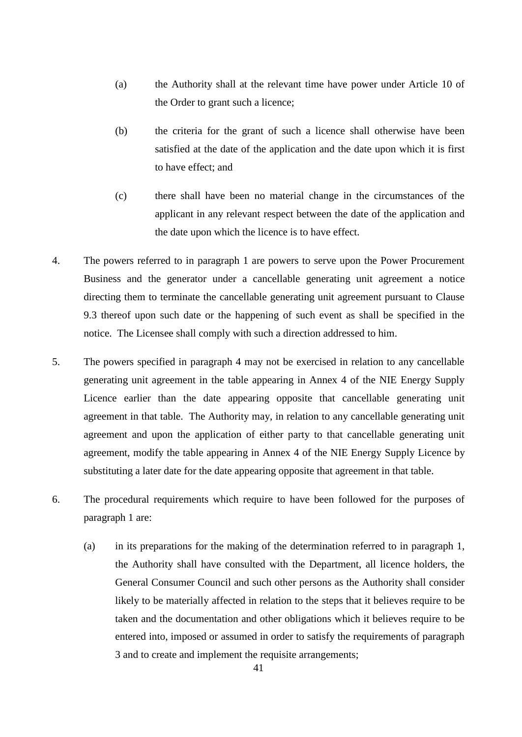- (a) the Authority shall at the relevant time have power under Article 10 of the Order to grant such a licence;
- (b) the criteria for the grant of such a licence shall otherwise have been satisfied at the date of the application and the date upon which it is first to have effect; and
- (c) there shall have been no material change in the circumstances of the applicant in any relevant respect between the date of the application and the date upon which the licence is to have effect.
- 4. The powers referred to in paragraph 1 are powers to serve upon the Power Procurement Business and the generator under a cancellable generating unit agreement a notice directing them to terminate the cancellable generating unit agreement pursuant to Clause 9.3 thereof upon such date or the happening of such event as shall be specified in the notice. The Licensee shall comply with such a direction addressed to him.
- 5. The powers specified in paragraph 4 may not be exercised in relation to any cancellable generating unit agreement in the table appearing in Annex 4 of the NIE Energy Supply Licence earlier than the date appearing opposite that cancellable generating unit agreement in that table. The Authority may, in relation to any cancellable generating unit agreement and upon the application of either party to that cancellable generating unit agreement, modify the table appearing in Annex 4 of the NIE Energy Supply Licence by substituting a later date for the date appearing opposite that agreement in that table.
- 6. The procedural requirements which require to have been followed for the purposes of paragraph 1 are:
	- (a) in its preparations for the making of the determination referred to in paragraph 1, the Authority shall have consulted with the Department, all licence holders, the General Consumer Council and such other persons as the Authority shall consider likely to be materially affected in relation to the steps that it believes require to be taken and the documentation and other obligations which it believes require to be entered into, imposed or assumed in order to satisfy the requirements of paragraph 3 and to create and implement the requisite arrangements;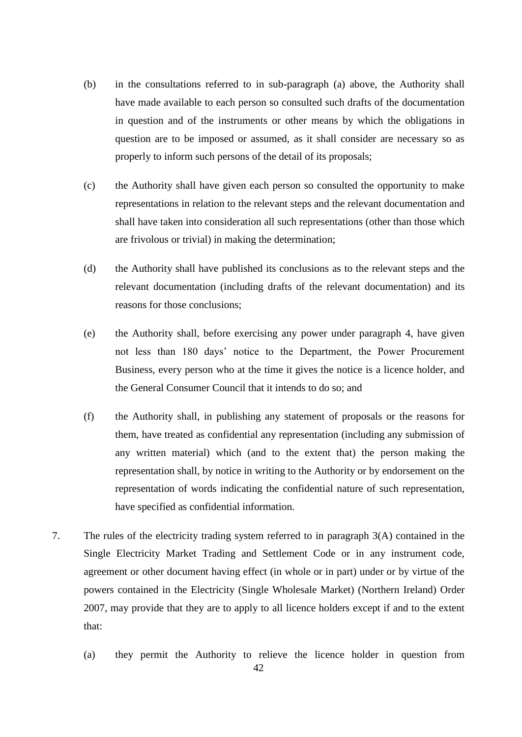- (b) in the consultations referred to in sub-paragraph (a) above, the Authority shall have made available to each person so consulted such drafts of the documentation in question and of the instruments or other means by which the obligations in question are to be imposed or assumed, as it shall consider are necessary so as properly to inform such persons of the detail of its proposals;
- (c) the Authority shall have given each person so consulted the opportunity to make representations in relation to the relevant steps and the relevant documentation and shall have taken into consideration all such representations (other than those which are frivolous or trivial) in making the determination;
- (d) the Authority shall have published its conclusions as to the relevant steps and the relevant documentation (including drafts of the relevant documentation) and its reasons for those conclusions;
- (e) the Authority shall, before exercising any power under paragraph 4, have given not less than 180 days' notice to the Department, the Power Procurement Business, every person who at the time it gives the notice is a licence holder, and the General Consumer Council that it intends to do so; and
- (f) the Authority shall, in publishing any statement of proposals or the reasons for them, have treated as confidential any representation (including any submission of any written material) which (and to the extent that) the person making the representation shall, by notice in writing to the Authority or by endorsement on the representation of words indicating the confidential nature of such representation, have specified as confidential information.
- 7. The rules of the electricity trading system referred to in paragraph 3(A) contained in the Single Electricity Market Trading and Settlement Code or in any instrument code, agreement or other document having effect (in whole or in part) under or by virtue of the powers contained in the Electricity (Single Wholesale Market) (Northern Ireland) Order 2007, may provide that they are to apply to all licence holders except if and to the extent that:
	- (a) they permit the Authority to relieve the licence holder in question from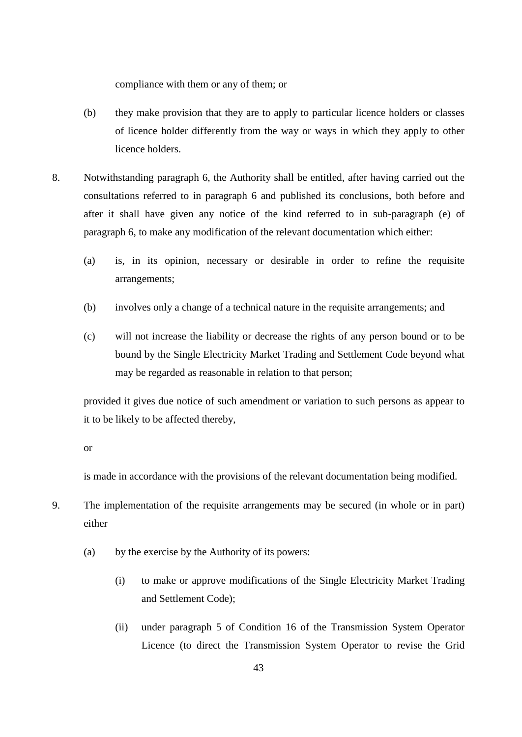compliance with them or any of them; or

- (b) they make provision that they are to apply to particular licence holders or classes of licence holder differently from the way or ways in which they apply to other licence holders.
- 8. Notwithstanding paragraph 6, the Authority shall be entitled, after having carried out the consultations referred to in paragraph 6 and published its conclusions, both before and after it shall have given any notice of the kind referred to in sub-paragraph (e) of paragraph 6, to make any modification of the relevant documentation which either:
	- (a) is, in its opinion, necessary or desirable in order to refine the requisite arrangements;
	- (b) involves only a change of a technical nature in the requisite arrangements; and
	- (c) will not increase the liability or decrease the rights of any person bound or to be bound by the Single Electricity Market Trading and Settlement Code beyond what may be regarded as reasonable in relation to that person;

provided it gives due notice of such amendment or variation to such persons as appear to it to be likely to be affected thereby,

or

is made in accordance with the provisions of the relevant documentation being modified.

- 9. The implementation of the requisite arrangements may be secured (in whole or in part) either
	- (a) by the exercise by the Authority of its powers:
		- (i) to make or approve modifications of the Single Electricity Market Trading and Settlement Code);
		- (ii) under paragraph 5 of Condition 16 of the Transmission System Operator Licence (to direct the Transmission System Operator to revise the Grid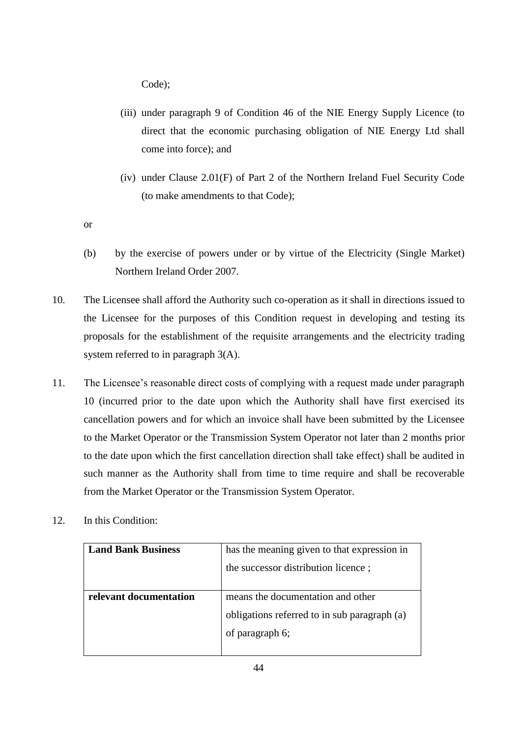Code);

- (iii) under paragraph 9 of Condition 46 of the NIE Energy Supply Licence (to direct that the economic purchasing obligation of NIE Energy Ltd shall come into force); and
- (iv) under Clause 2.01(F) of Part 2 of the Northern Ireland Fuel Security Code (to make amendments to that Code);

or

- (b) by the exercise of powers under or by virtue of the Electricity (Single Market) Northern Ireland Order 2007.
- 10. The Licensee shall afford the Authority such co-operation as it shall in directions issued to the Licensee for the purposes of this Condition request in developing and testing its proposals for the establishment of the requisite arrangements and the electricity trading system referred to in paragraph 3(A).
- 11. The Licensee's reasonable direct costs of complying with a request made under paragraph 10 (incurred prior to the date upon which the Authority shall have first exercised its cancellation powers and for which an invoice shall have been submitted by the Licensee to the Market Operator or the Transmission System Operator not later than 2 months prior to the date upon which the first cancellation direction shall take effect) shall be audited in such manner as the Authority shall from time to time require and shall be recoverable from the Market Operator or the Transmission System Operator.
- 12. In this Condition:

| <b>Land Bank Business</b> | has the meaning given to that expression in  |
|---------------------------|----------------------------------------------|
|                           | the successor distribution licence;          |
|                           |                                              |
| relevant documentation    | means the documentation and other            |
|                           | obligations referred to in sub paragraph (a) |
|                           | of paragraph 6;                              |
|                           |                                              |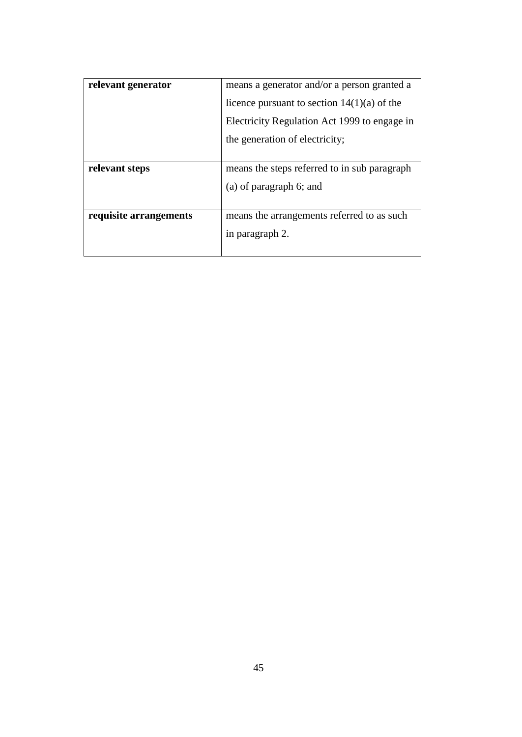| relevant generator     | means a generator and/or a person granted a   |
|------------------------|-----------------------------------------------|
|                        | licence pursuant to section $14(1)(a)$ of the |
|                        | Electricity Regulation Act 1999 to engage in  |
|                        | the generation of electricity;                |
|                        |                                               |
| relevant steps         | means the steps referred to in sub paragraph  |
|                        | (a) of paragraph 6; and                       |
|                        |                                               |
| requisite arrangements | means the arrangements referred to as such    |
|                        | in paragraph 2.                               |
|                        |                                               |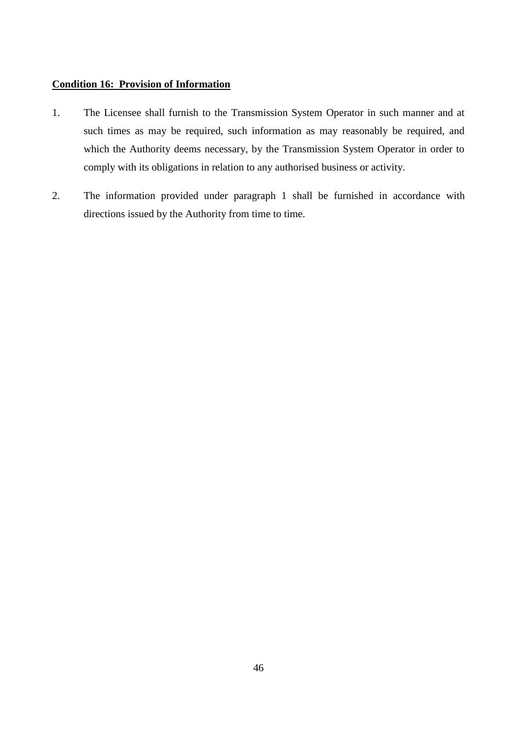## <span id="page-47-0"></span>**Condition 16: Provision of Information**

- 1. The Licensee shall furnish to the Transmission System Operator in such manner and at such times as may be required, such information as may reasonably be required, and which the Authority deems necessary, by the Transmission System Operator in order to comply with its obligations in relation to any authorised business or activity.
- 2. The information provided under paragraph 1 shall be furnished in accordance with directions issued by the Authority from time to time.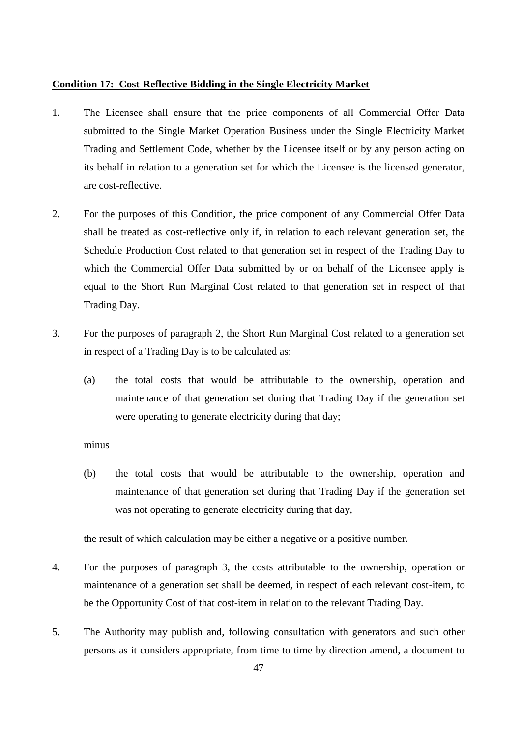#### <span id="page-48-0"></span>**Condition 17: Cost-Reflective Bidding in the Single Electricity Market**

- 1. The Licensee shall ensure that the price components of all Commercial Offer Data submitted to the Single Market Operation Business under the Single Electricity Market Trading and Settlement Code, whether by the Licensee itself or by any person acting on its behalf in relation to a generation set for which the Licensee is the licensed generator, are cost-reflective.
- 2. For the purposes of this Condition, the price component of any Commercial Offer Data shall be treated as cost-reflective only if, in relation to each relevant generation set, the Schedule Production Cost related to that generation set in respect of the Trading Day to which the Commercial Offer Data submitted by or on behalf of the Licensee apply is equal to the Short Run Marginal Cost related to that generation set in respect of that Trading Day.
- 3. For the purposes of paragraph 2, the Short Run Marginal Cost related to a generation set in respect of a Trading Day is to be calculated as:
	- (a) the total costs that would be attributable to the ownership, operation and maintenance of that generation set during that Trading Day if the generation set were operating to generate electricity during that day;

#### minus

(b) the total costs that would be attributable to the ownership, operation and maintenance of that generation set during that Trading Day if the generation set was not operating to generate electricity during that day,

the result of which calculation may be either a negative or a positive number.

- 4. For the purposes of paragraph 3, the costs attributable to the ownership, operation or maintenance of a generation set shall be deemed, in respect of each relevant cost-item, to be the Opportunity Cost of that cost-item in relation to the relevant Trading Day.
- 5. The Authority may publish and, following consultation with generators and such other persons as it considers appropriate, from time to time by direction amend, a document to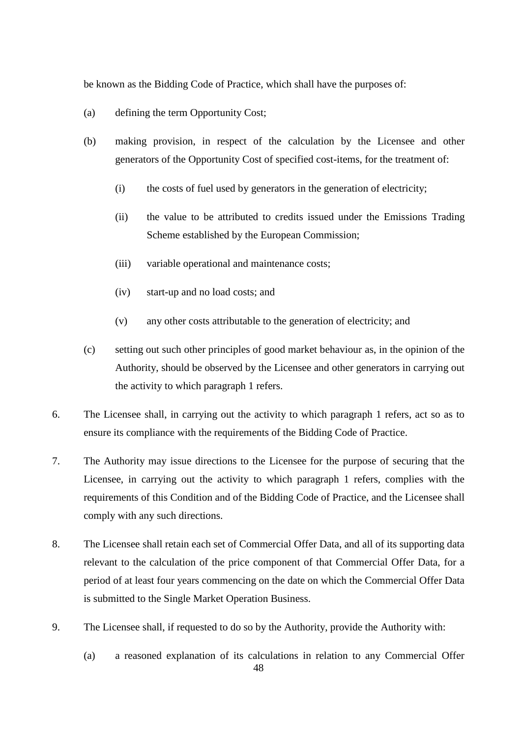be known as the Bidding Code of Practice, which shall have the purposes of:

- (a) defining the term Opportunity Cost;
- (b) making provision, in respect of the calculation by the Licensee and other generators of the Opportunity Cost of specified cost-items, for the treatment of:
	- (i) the costs of fuel used by generators in the generation of electricity;
	- (ii) the value to be attributed to credits issued under the Emissions Trading Scheme established by the European Commission;
	- (iii) variable operational and maintenance costs;
	- (iv) start-up and no load costs; and
	- (v) any other costs attributable to the generation of electricity; and
- (c) setting out such other principles of good market behaviour as, in the opinion of the Authority, should be observed by the Licensee and other generators in carrying out the activity to which paragraph 1 refers.
- 6. The Licensee shall, in carrying out the activity to which paragraph 1 refers, act so as to ensure its compliance with the requirements of the Bidding Code of Practice.
- 7. The Authority may issue directions to the Licensee for the purpose of securing that the Licensee, in carrying out the activity to which paragraph 1 refers, complies with the requirements of this Condition and of the Bidding Code of Practice, and the Licensee shall comply with any such directions.
- 8. The Licensee shall retain each set of Commercial Offer Data, and all of its supporting data relevant to the calculation of the price component of that Commercial Offer Data, for a period of at least four years commencing on the date on which the Commercial Offer Data is submitted to the Single Market Operation Business.
- 9. The Licensee shall, if requested to do so by the Authority, provide the Authority with:
	- (a) a reasoned explanation of its calculations in relation to any Commercial Offer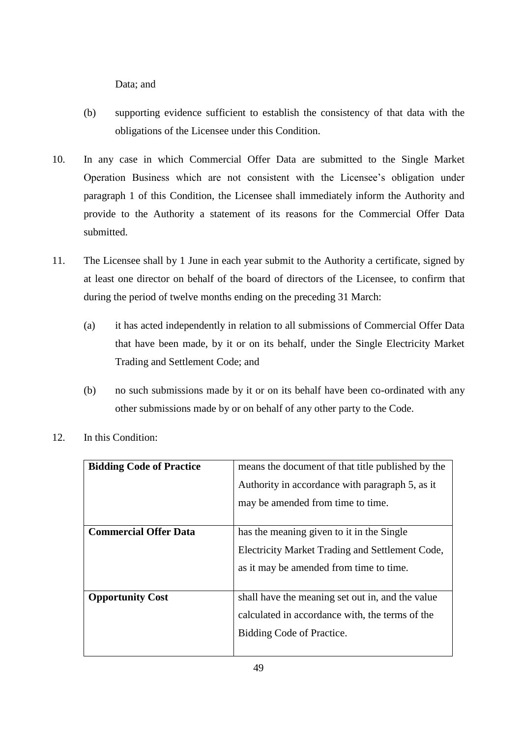Data; and

- (b) supporting evidence sufficient to establish the consistency of that data with the obligations of the Licensee under this Condition.
- 10. In any case in which Commercial Offer Data are submitted to the Single Market Operation Business which are not consistent with the Licensee's obligation under paragraph 1 of this Condition, the Licensee shall immediately inform the Authority and provide to the Authority a statement of its reasons for the Commercial Offer Data submitted.
- 11. The Licensee shall by 1 June in each year submit to the Authority a certificate, signed by at least one director on behalf of the board of directors of the Licensee, to confirm that during the period of twelve months ending on the preceding 31 March:
	- (a) it has acted independently in relation to all submissions of Commercial Offer Data that have been made, by it or on its behalf, under the Single Electricity Market Trading and Settlement Code; and
	- (b) no such submissions made by it or on its behalf have been co-ordinated with any other submissions made by or on behalf of any other party to the Code.

| <b>Bidding Code of Practice</b> | means the document of that title published by the |
|---------------------------------|---------------------------------------------------|
|                                 | Authority in accordance with paragraph 5, as it   |
|                                 | may be amended from time to time.                 |
|                                 |                                                   |
| <b>Commercial Offer Data</b>    | has the meaning given to it in the Single         |
|                                 | Electricity Market Trading and Settlement Code,   |
|                                 | as it may be amended from time to time.           |
|                                 |                                                   |
| <b>Opportunity Cost</b>         | shall have the meaning set out in, and the value  |
|                                 | calculated in accordance with, the terms of the   |
|                                 | Bidding Code of Practice.                         |
|                                 |                                                   |

12. In this Condition: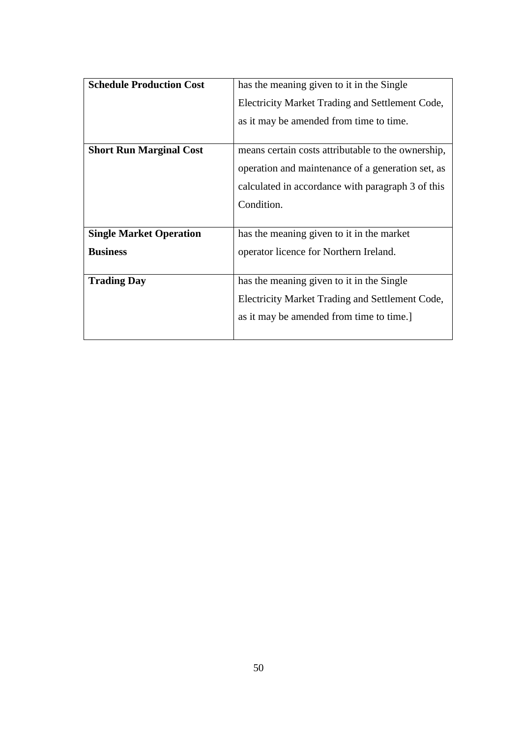| <b>Schedule Production Cost</b> | has the meaning given to it in the Single          |
|---------------------------------|----------------------------------------------------|
|                                 | Electricity Market Trading and Settlement Code,    |
|                                 | as it may be amended from time to time.            |
|                                 |                                                    |
| <b>Short Run Marginal Cost</b>  | means certain costs attributable to the ownership, |
|                                 | operation and maintenance of a generation set, as  |
|                                 | calculated in accordance with paragraph 3 of this  |
|                                 | Condition.                                         |
|                                 |                                                    |
| <b>Single Market Operation</b>  | has the meaning given to it in the market          |
| <b>Business</b>                 | operator licence for Northern Ireland.             |
|                                 |                                                    |
| <b>Trading Day</b>              | has the meaning given to it in the Single          |
|                                 | Electricity Market Trading and Settlement Code,    |
|                                 | as it may be amended from time to time.]           |
|                                 |                                                    |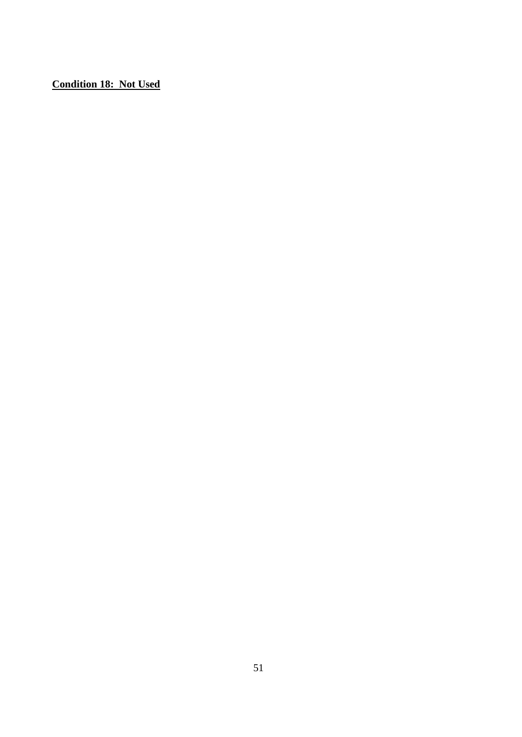<span id="page-52-0"></span>**Condition 18: Not Used**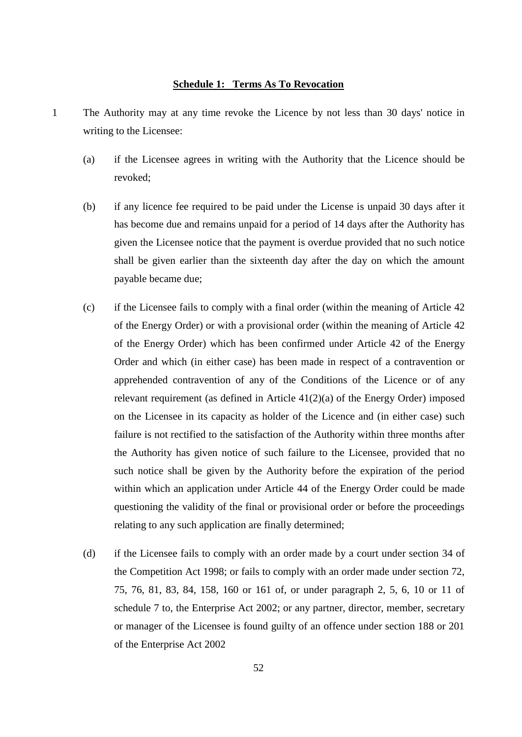## **Schedule 1: Terms As To Revocation**

- <span id="page-53-0"></span>1 The Authority may at any time revoke the Licence by not less than 30 days' notice in writing to the Licensee:
	- (a) if the Licensee agrees in writing with the Authority that the Licence should be revoked;
	- (b) if any licence fee required to be paid under the License is unpaid 30 days after it has become due and remains unpaid for a period of 14 days after the Authority has given the Licensee notice that the payment is overdue provided that no such notice shall be given earlier than the sixteenth day after the day on which the amount payable became due;
	- (c) if the Licensee fails to comply with a final order (within the meaning of Article 42 of the Energy Order) or with a provisional order (within the meaning of Article 42 of the Energy Order) which has been confirmed under Article 42 of the Energy Order and which (in either case) has been made in respect of a contravention or apprehended contravention of any of the Conditions of the Licence or of any relevant requirement (as defined in Article 41(2)(a) of the Energy Order) imposed on the Licensee in its capacity as holder of the Licence and (in either case) such failure is not rectified to the satisfaction of the Authority within three months after the Authority has given notice of such failure to the Licensee, provided that no such notice shall be given by the Authority before the expiration of the period within which an application under Article 44 of the Energy Order could be made questioning the validity of the final or provisional order or before the proceedings relating to any such application are finally determined;
	- (d) if the Licensee fails to comply with an order made by a court under section 34 of the Competition Act 1998; or fails to comply with an order made under section 72, 75, 76, 81, 83, 84, 158, 160 or 161 of, or under paragraph 2, 5, 6, 10 or 11 of schedule 7 to, the Enterprise Act 2002; or any partner, director, member, secretary or manager of the Licensee is found guilty of an offence under section 188 or 201 of the Enterprise Act 2002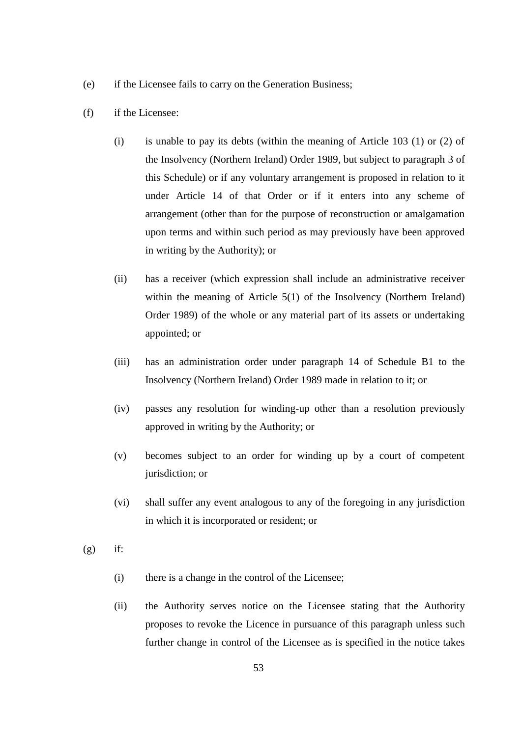- (e) if the Licensee fails to carry on the Generation Business;
- (f) if the Licensee:
	- (i) is unable to pay its debts (within the meaning of Article 103 (1) or (2) of the Insolvency (Northern Ireland) Order 1989, but subject to paragraph 3 of this Schedule) or if any voluntary arrangement is proposed in relation to it under Article 14 of that Order or if it enters into any scheme of arrangement (other than for the purpose of reconstruction or amalgamation upon terms and within such period as may previously have been approved in writing by the Authority); or
	- (ii) has a receiver (which expression shall include an administrative receiver within the meaning of Article 5(1) of the Insolvency (Northern Ireland) Order 1989) of the whole or any material part of its assets or undertaking appointed; or
	- (iii) has an administration order under paragraph 14 of Schedule B1 to the Insolvency (Northern Ireland) Order 1989 made in relation to it; or
	- (iv) passes any resolution for winding-up other than a resolution previously approved in writing by the Authority; or
	- (v) becomes subject to an order for winding up by a court of competent jurisdiction; or
	- (vi) shall suffer any event analogous to any of the foregoing in any jurisdiction in which it is incorporated or resident; or
- $(g)$  if:
	- (i) there is a change in the control of the Licensee;
	- (ii) the Authority serves notice on the Licensee stating that the Authority proposes to revoke the Licence in pursuance of this paragraph unless such further change in control of the Licensee as is specified in the notice takes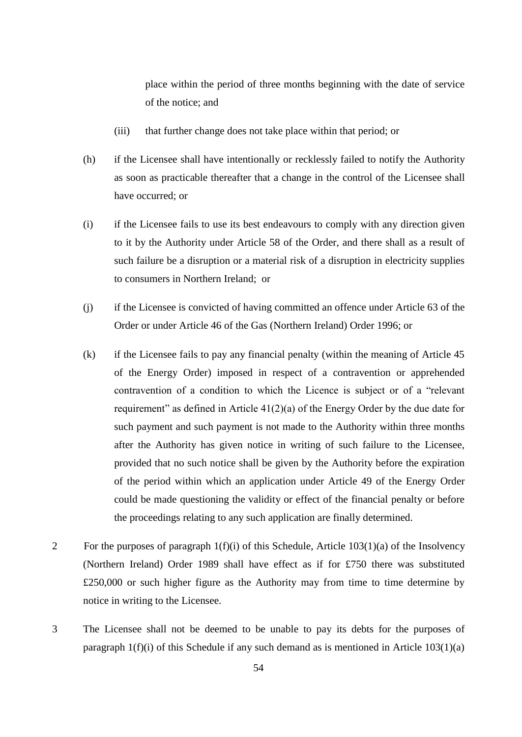place within the period of three months beginning with the date of service of the notice; and

- (iii) that further change does not take place within that period; or
- (h) if the Licensee shall have intentionally or recklessly failed to notify the Authority as soon as practicable thereafter that a change in the control of the Licensee shall have occurred; or
- (i) if the Licensee fails to use its best endeavours to comply with any direction given to it by the Authority under Article 58 of the Order, and there shall as a result of such failure be a disruption or a material risk of a disruption in electricity supplies to consumers in Northern Ireland; or
- (j) if the Licensee is convicted of having committed an offence under Article 63 of the Order or under Article 46 of the Gas (Northern Ireland) Order 1996; or
- (k) if the Licensee fails to pay any financial penalty (within the meaning of Article 45 of the Energy Order) imposed in respect of a contravention or apprehended contravention of a condition to which the Licence is subject or of a "relevant requirement" as defined in Article  $41(2)(a)$  of the Energy Order by the due date for such payment and such payment is not made to the Authority within three months after the Authority has given notice in writing of such failure to the Licensee, provided that no such notice shall be given by the Authority before the expiration of the period within which an application under Article 49 of the Energy Order could be made questioning the validity or effect of the financial penalty or before the proceedings relating to any such application are finally determined.
- 2 For the purposes of paragraph  $1(f)(i)$  of this Schedule, Article  $103(1)(a)$  of the Insolvency (Northern Ireland) Order 1989 shall have effect as if for £750 there was substituted £250,000 or such higher figure as the Authority may from time to time determine by notice in writing to the Licensee.
- 3 The Licensee shall not be deemed to be unable to pay its debts for the purposes of paragraph  $1(f)(i)$  of this Schedule if any such demand as is mentioned in Article  $103(1)(a)$